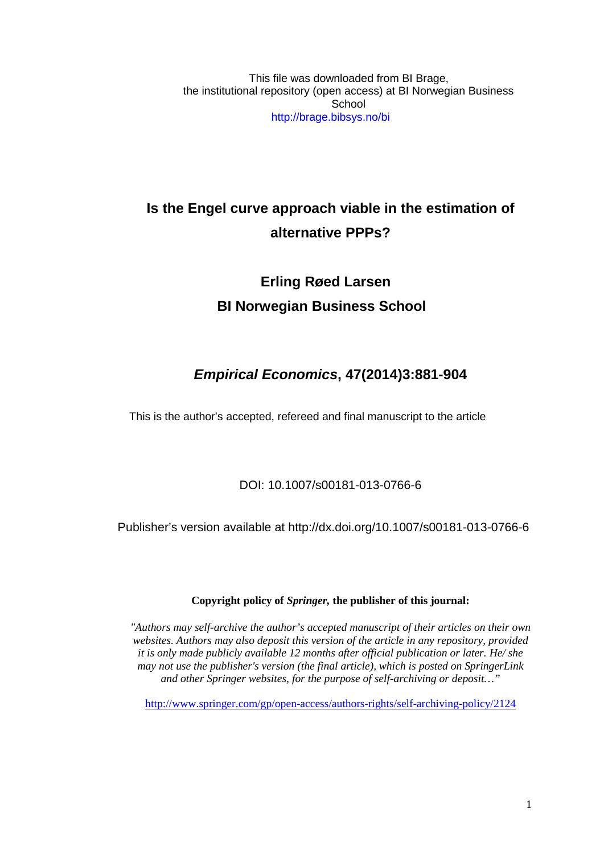This file was downloaded from BI Brage, the institutional repository (open access) at BI Norwegian Business **School** http://brage.bibsys.no/bi

# **Is the Engel curve approach viable in the estimation of alternative PPPs?**

# **Erling Røed Larsen BI Norwegian Business School**

# *Empirical Economics***, 47(2014)3:881-904**

This is the author's accepted, refereed and final manuscript to the article

## DOI: 10.1007/s00181-013-0766-6

Publisher's version available at http://dx.doi.org/10.1007/s00181-013-0766-6

### **Copyright policy of** *Springer,* **the publisher of this journal:**

*"Authors may self-archive the author's accepted manuscript of their articles on their own websites. Authors may also deposit this version of the article in any repository, provided it is only made publicly available 12 months after official publication or later. He/ she may not use the publisher's version (the final article), which is posted on SpringerLink and other Springer websites, for the purpose of self-archiving or deposit…"*

<http://www.springer.com/gp/open-access/authors-rights/self-archiving-policy/2124>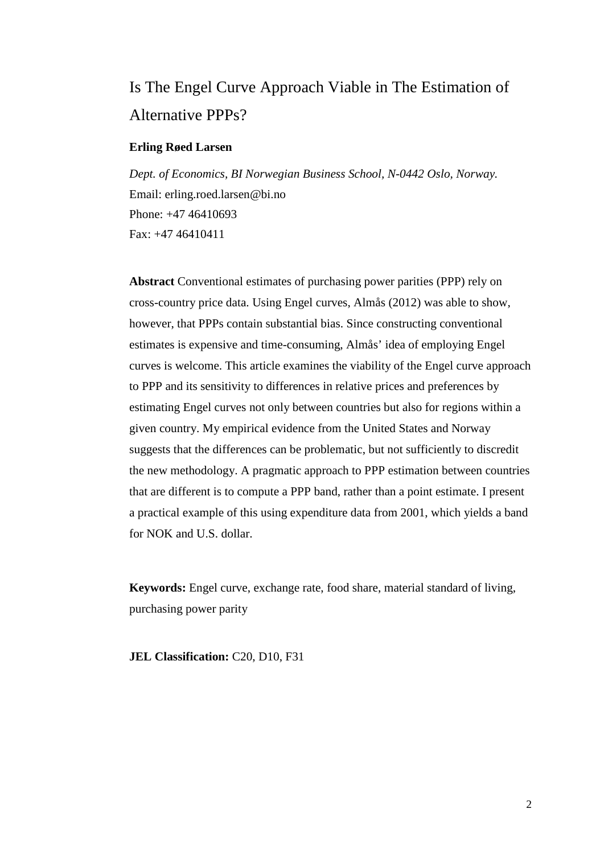# Is The Engel Curve Approach Viable in The Estimation of Alternative PPPs?

#### **Erling Røed Larsen**

*Dept. of Economics, BI Norwegian Business School, N-0442 Oslo, Norway.* Email: erling.roed.larsen@bi.no Phone: +47 46410693 Fax: +47 46410411

**Abstract** Conventional estimates of purchasing power parities (PPP) rely on cross-country price data. Using Engel curves, Almås (2012) was able to show, however, that PPPs contain substantial bias. Since constructing conventional estimates is expensive and time-consuming, Almås' idea of employing Engel curves is welcome. This article examines the viability of the Engel curve approach to PPP and its sensitivity to differences in relative prices and preferences by estimating Engel curves not only between countries but also for regions within a given country. My empirical evidence from the United States and Norway suggests that the differences can be problematic, but not sufficiently to discredit the new methodology. A pragmatic approach to PPP estimation between countries that are different is to compute a PPP band, rather than a point estimate. I present a practical example of this using expenditure data from 2001, which yields a band for NOK and U.S. dollar.

**Keywords:** Engel curve, exchange rate, food share, material standard of living, purchasing power parity

**JEL Classification:** C20, D10, F31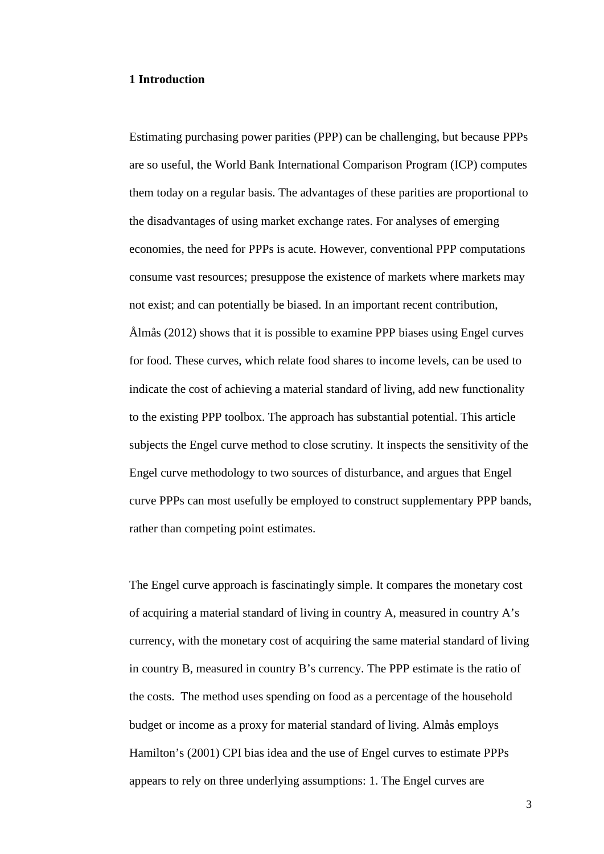#### **1 Introduction**

Estimating purchasing power parities (PPP) can be challenging, but because PPPs are so useful, the World Bank International Comparison Program (ICP) computes them today on a regular basis. The advantages of these parities are proportional to the disadvantages of using market exchange rates. For analyses of emerging economies, the need for PPPs is acute. However, conventional PPP computations consume vast resources; presuppose the existence of markets where markets may not exist; and can potentially be biased. In an important recent contribution, Ålmås (2012) shows that it is possible to examine PPP biases using Engel curves for food. These curves, which relate food shares to income levels, can be used to indicate the cost of achieving a material standard of living, add new functionality to the existing PPP toolbox. The approach has substantial potential. This article subjects the Engel curve method to close scrutiny. It inspects the sensitivity of the Engel curve methodology to two sources of disturbance, and argues that Engel curve PPPs can most usefully be employed to construct supplementary PPP bands, rather than competing point estimates.

The Engel curve approach is fascinatingly simple. It compares the monetary cost of acquiring a material standard of living in country A, measured in country A's currency, with the monetary cost of acquiring the same material standard of living in country B, measured in country B's currency. The PPP estimate is the ratio of the costs. The method uses spending on food as a percentage of the household budget or income as a proxy for material standard of living. Almås employs Hamilton's (2001) CPI bias idea and the use of Engel curves to estimate PPPs appears to rely on three underlying assumptions: 1. The Engel curves are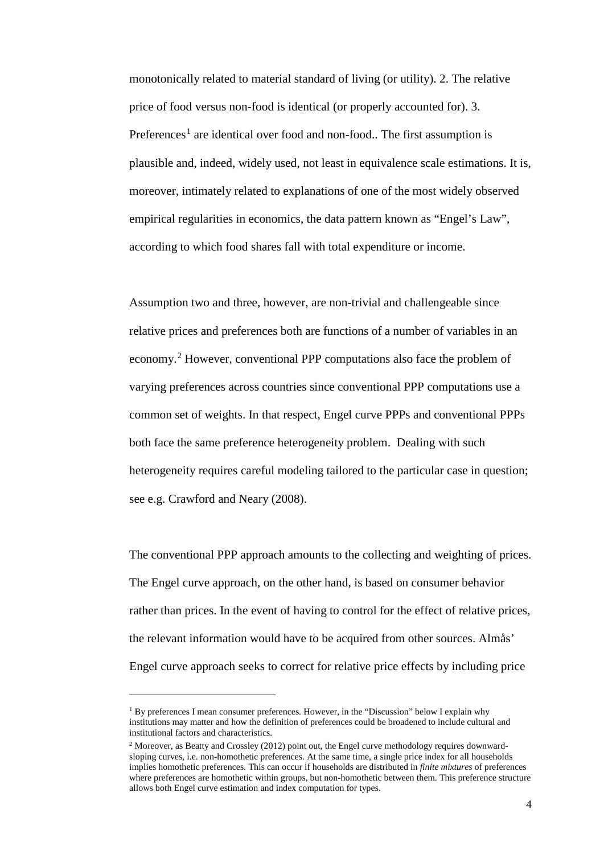monotonically related to material standard of living (or utility). 2. The relative price of food versus non-food is identical (or properly accounted for). 3. Preferences<sup>[1](#page-3-0)</sup> are identical over food and non-food.. The first assumption is plausible and, indeed, widely used, not least in equivalence scale estimations. It is, moreover, intimately related to explanations of one of the most widely observed empirical regularities in economics, the data pattern known as "Engel's Law", according to which food shares fall with total expenditure or income.

Assumption two and three, however, are non-trivial and challengeable since relative prices and preferences both are functions of a number of variables in an economy.[2](#page-3-1) However, conventional PPP computations also face the problem of varying preferences across countries since conventional PPP computations use a common set of weights. In that respect, Engel curve PPPs and conventional PPPs both face the same preference heterogeneity problem. Dealing with such heterogeneity requires careful modeling tailored to the particular case in question; see e.g. Crawford and Neary (2008).

The conventional PPP approach amounts to the collecting and weighting of prices. The Engel curve approach, on the other hand, is based on consumer behavior rather than prices. In the event of having to control for the effect of relative prices, the relevant information would have to be acquired from other sources. Almås' Engel curve approach seeks to correct for relative price effects by including price

-

<span id="page-3-0"></span> $<sup>1</sup>$  By preferences I mean consumer preferences. However, in the "Discussion" below I explain why</sup> institutions may matter and how the definition of preferences could be broadened to include cultural and institutional factors and characteristics.

<span id="page-3-1"></span><sup>&</sup>lt;sup>2</sup> Moreover, as Beatty and Crossley (2012) point out, the Engel curve methodology requires downwardsloping curves, i.e. non-homothetic preferences. At the same time, a single price index for all households implies homothetic preferences. This can occur if households are distributed in *finite mixtures* of preferences where preferences are homothetic within groups, but non-homothetic between them. This preference structure allows both Engel curve estimation and index computation for types.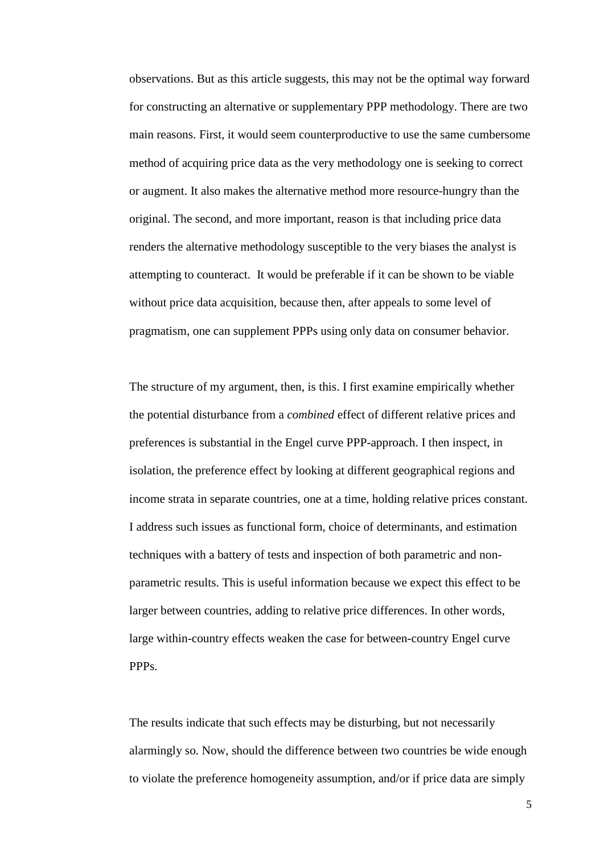observations. But as this article suggests, this may not be the optimal way forward for constructing an alternative or supplementary PPP methodology. There are two main reasons. First, it would seem counterproductive to use the same cumbersome method of acquiring price data as the very methodology one is seeking to correct or augment. It also makes the alternative method more resource-hungry than the original. The second, and more important, reason is that including price data renders the alternative methodology susceptible to the very biases the analyst is attempting to counteract. It would be preferable if it can be shown to be viable without price data acquisition, because then, after appeals to some level of pragmatism, one can supplement PPPs using only data on consumer behavior.

The structure of my argument, then, is this. I first examine empirically whether the potential disturbance from a *combined* effect of different relative prices and preferences is substantial in the Engel curve PPP-approach. I then inspect, in isolation, the preference effect by looking at different geographical regions and income strata in separate countries, one at a time, holding relative prices constant. I address such issues as functional form, choice of determinants, and estimation techniques with a battery of tests and inspection of both parametric and nonparametric results. This is useful information because we expect this effect to be larger between countries, adding to relative price differences. In other words, large within-country effects weaken the case for between-country Engel curve PPPs.

The results indicate that such effects may be disturbing, but not necessarily alarmingly so. Now, should the difference between two countries be wide enough to violate the preference homogeneity assumption, and/or if price data are simply

5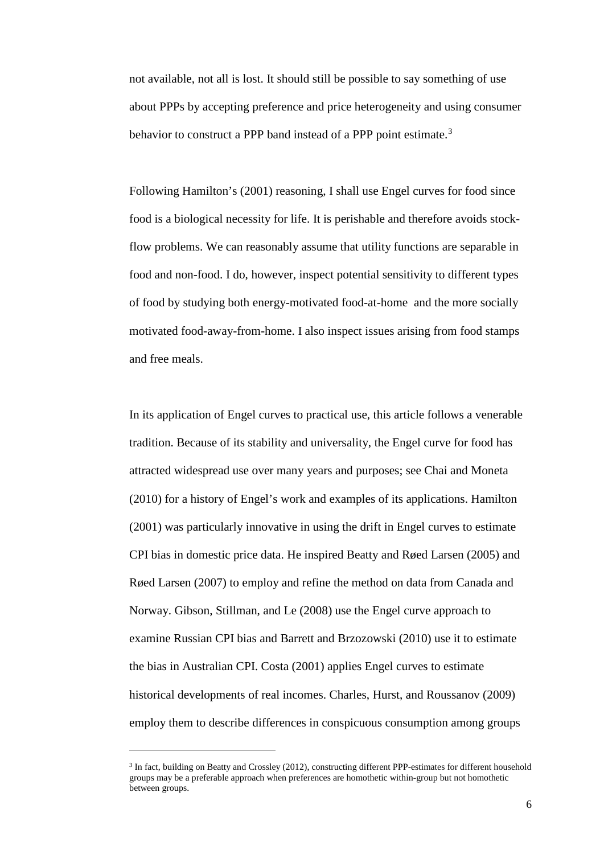not available, not all is lost. It should still be possible to say something of use about PPPs by accepting preference and price heterogeneity and using consumer behavior to construct a PPP band instead of a PPP point estimate.<sup>[3](#page-5-0)</sup>

Following Hamilton's (2001) reasoning, I shall use Engel curves for food since food is a biological necessity for life. It is perishable and therefore avoids stockflow problems. We can reasonably assume that utility functions are separable in food and non-food. I do, however, inspect potential sensitivity to different types of food by studying both energy-motivated food-at-home and the more socially motivated food-away-from-home. I also inspect issues arising from food stamps and free meals.

In its application of Engel curves to practical use, this article follows a venerable tradition. Because of its stability and universality, the Engel curve for food has attracted widespread use over many years and purposes; see Chai and Moneta (2010) for a history of Engel's work and examples of its applications. Hamilton (2001) was particularly innovative in using the drift in Engel curves to estimate CPI bias in domestic price data. He inspired Beatty and Røed Larsen (2005) and Røed Larsen (2007) to employ and refine the method on data from Canada and Norway. Gibson, Stillman, and Le (2008) use the Engel curve approach to examine Russian CPI bias and Barrett and Brzozowski (2010) use it to estimate the bias in Australian CPI. Costa (2001) applies Engel curves to estimate historical developments of real incomes. Charles, Hurst, and Roussanov (2009) employ them to describe differences in conspicuous consumption among groups

<u>.</u>

<span id="page-5-0"></span><sup>3</sup> In fact, building on Beatty and Crossley (2012), constructing different PPP-estimates for different household groups may be a preferable approach when preferences are homothetic within-group but not homothetic between groups.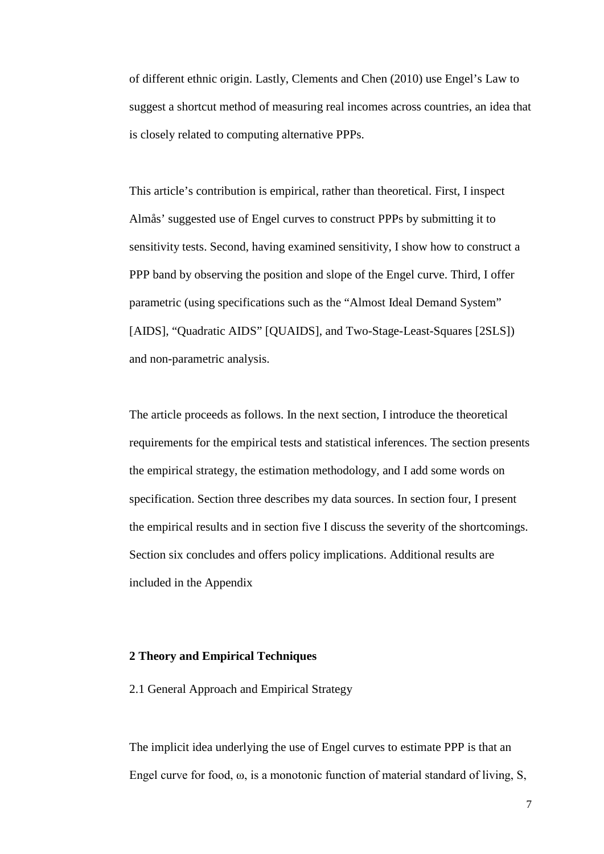of different ethnic origin. Lastly, Clements and Chen (2010) use Engel's Law to suggest a shortcut method of measuring real incomes across countries, an idea that is closely related to computing alternative PPPs.

This article's contribution is empirical, rather than theoretical. First, I inspect Almås' suggested use of Engel curves to construct PPPs by submitting it to sensitivity tests. Second, having examined sensitivity, I show how to construct a PPP band by observing the position and slope of the Engel curve. Third, I offer parametric (using specifications such as the "Almost Ideal Demand System" [AIDS], "Quadratic AIDS" [QUAIDS], and Two-Stage-Least-Squares [2SLS]) and non-parametric analysis.

The article proceeds as follows. In the next section, I introduce the theoretical requirements for the empirical tests and statistical inferences. The section presents the empirical strategy, the estimation methodology, and I add some words on specification. Section three describes my data sources. In section four, I present the empirical results and in section five I discuss the severity of the shortcomings. Section six concludes and offers policy implications. Additional results are included in the Appendix

#### **2 Theory and Empirical Techniques**

2.1 General Approach and Empirical Strategy

The implicit idea underlying the use of Engel curves to estimate PPP is that an Engel curve for food,  $\omega$ , is a monotonic function of material standard of living, S,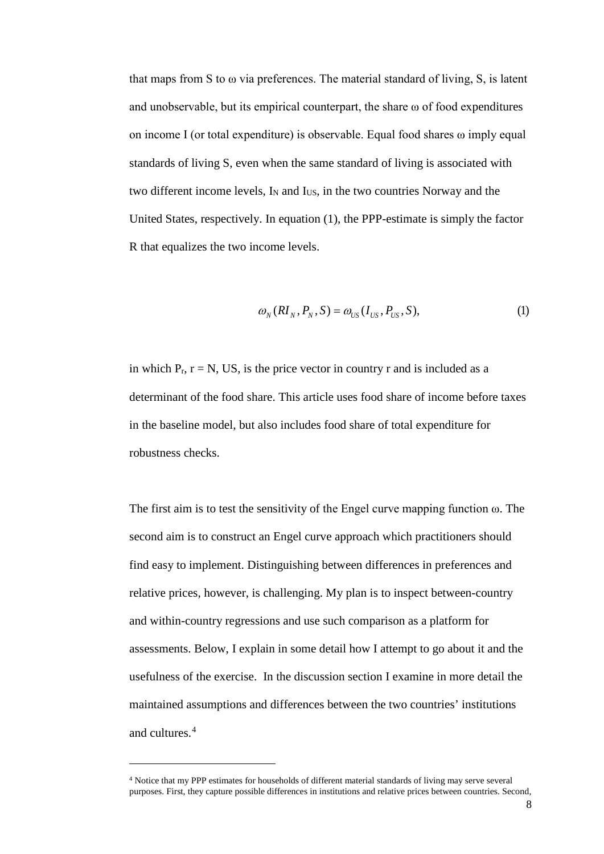that maps from S to  $\omega$  via preferences. The material standard of living, S, is latent and unobservable, but its empirical counterpart, the share  $\omega$  of food expenditures on income I (or total expenditure) is observable. Equal food shares ω imply equal standards of living S, even when the same standard of living is associated with two different income levels,  $I_N$  and  $I_{US}$ , in the two countries Norway and the United States, respectively. In equation (1), the PPP-estimate is simply the factor R that equalizes the two income levels.

$$
\omega_{N}(RI_{N}, P_{N}, S) = \omega_{US}(I_{US}, P_{US}, S),
$$
\n(1)

in which  $P_r$ ,  $r = N$ , US, is the price vector in country r and is included as a determinant of the food share. This article uses food share of income before taxes in the baseline model, but also includes food share of total expenditure for robustness checks.

The first aim is to test the sensitivity of the Engel curve mapping function ω. The second aim is to construct an Engel curve approach which practitioners should find easy to implement. Distinguishing between differences in preferences and relative prices, however, is challenging. My plan is to inspect between-country and within-country regressions and use such comparison as a platform for assessments. Below, I explain in some detail how I attempt to go about it and the usefulness of the exercise. In the discussion section I examine in more detail the maintained assumptions and differences between the two countries' institutions and cultures. [4](#page-7-0)

<u>.</u>

<span id="page-7-0"></span><sup>4</sup> Notice that my PPP estimates for households of different material standards of living may serve several purposes. First, they capture possible differences in institutions and relative prices between countries. Second,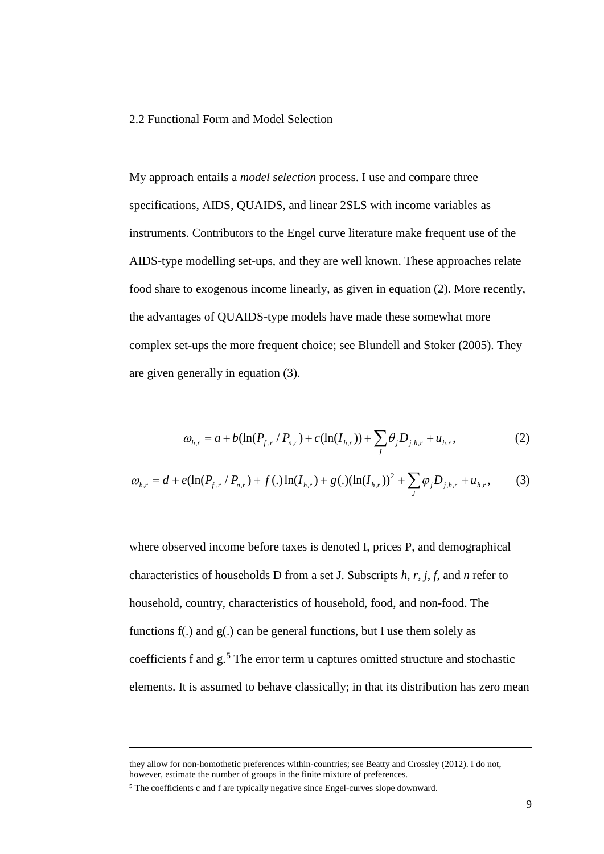#### 2.2 Functional Form and Model Selection

My approach entails a *model selection* process. I use and compare three specifications, AIDS, QUAIDS, and linear 2SLS with income variables as instruments. Contributors to the Engel curve literature make frequent use of the AIDS-type modelling set-ups, and they are well known. These approaches relate food share to exogenous income linearly, as given in equation (2). More recently, the advantages of QUAIDS-type models have made these somewhat more complex set-ups the more frequent choice; see Blundell and Stoker (2005). They are given generally in equation (3).

$$
\omega_{h,r} = a + b(\ln(P_{f,r} / P_{n,r}) + c(\ln(I_{h,r})) + \sum_{j} \theta_{j} D_{j,h,r} + u_{h,r},
$$
\n(2)

$$
\omega_{h,r} = d + e(\ln(P_{f,r} / P_{n,r}) + f(.)\ln(I_{h,r}) + g(.)(\ln(I_{h,r}))^2 + \sum_{j} \varphi_j D_{j,h,r} + u_{h,r},
$$
 (3)

where observed income before taxes is denoted I, prices P, and demographical characteristics of households D from a set J. Subscripts *h*, *r*, *j*, *f*, and *n* refer to household, country, characteristics of household, food, and non-food. The functions f(.) and g(.) can be general functions, but I use them solely as coefficients f and g.<sup>[5](#page-8-0)</sup> The error term u captures omitted structure and stochastic elements. It is assumed to behave classically; in that its distribution has zero mean

<u>.</u>

they allow for non-homothetic preferences within-countries; see Beatty and Crossley (2012). I do not, however, estimate the number of groups in the finite mixture of preferences.

<span id="page-8-0"></span><sup>5</sup> The coefficients c and f are typically negative since Engel-curves slope downward.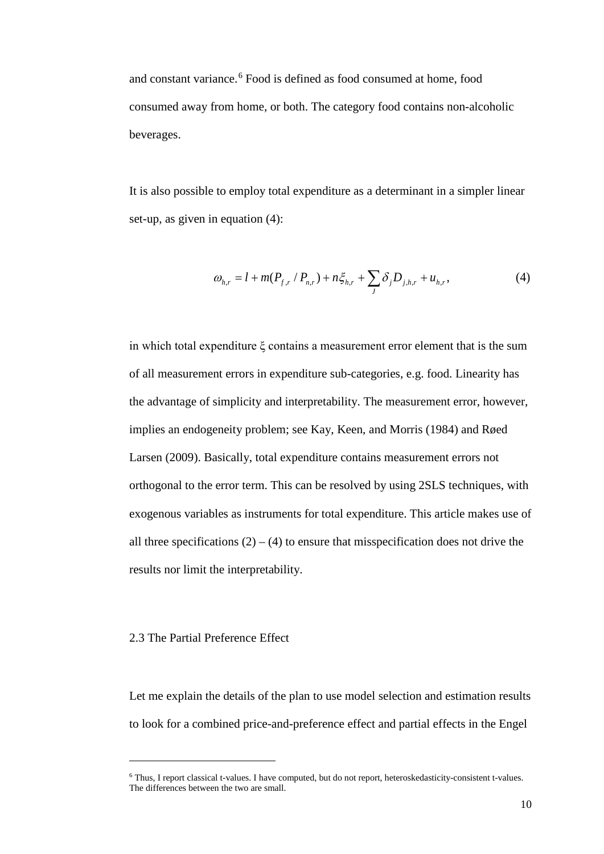and constant variance.<sup>[6](#page-9-0)</sup> Food is defined as food consumed at home, food consumed away from home, or both. The category food contains non-alcoholic beverages.

It is also possible to employ total expenditure as a determinant in a simpler linear set-up, as given in equation (4):

$$
\omega_{h,r} = l + m(P_{f,r} / P_{n,r}) + n\xi_{h,r} + \sum_{J} \delta_{j} D_{j,h,r} + u_{h,r}, \qquad (4)
$$

in which total expenditure ξ contains a measurement error element that is the sum of all measurement errors in expenditure sub-categories, e.g. food. Linearity has the advantage of simplicity and interpretability. The measurement error, however, implies an endogeneity problem; see Kay, Keen, and Morris (1984) and Røed Larsen (2009). Basically, total expenditure contains measurement errors not orthogonal to the error term. This can be resolved by using 2SLS techniques, with exogenous variables as instruments for total expenditure. This article makes use of all three specifications  $(2) - (4)$  to ensure that misspecification does not drive the results nor limit the interpretability.

#### 2.3 The Partial Preference Effect

<u>.</u>

Let me explain the details of the plan to use model selection and estimation results to look for a combined price-and-preference effect and partial effects in the Engel

<span id="page-9-0"></span><sup>6</sup> Thus, I report classical t-values. I have computed, but do not report, heteroskedasticity-consistent t-values. The differences between the two are small.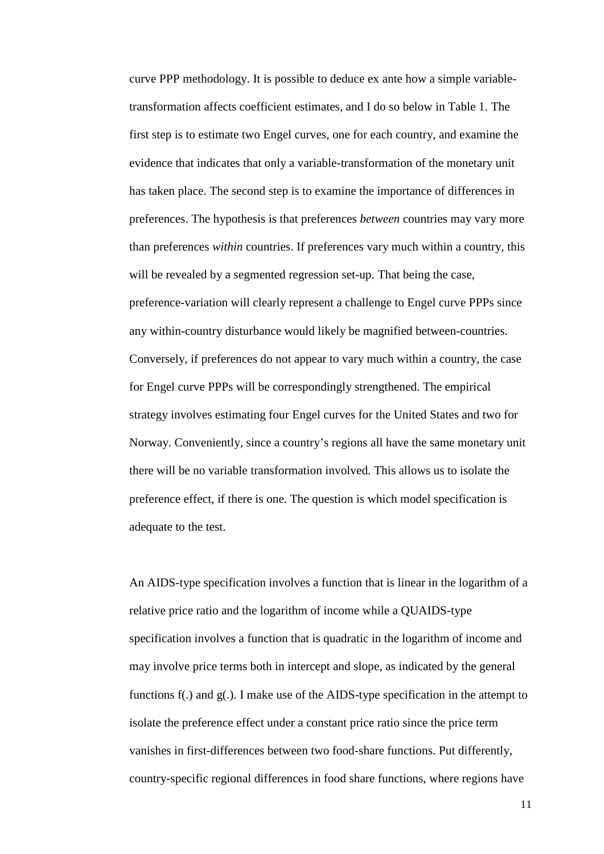curve PPP methodology. It is possible to deduce ex ante how a simple variabletransformation affects coefficient estimates, and I do so below in Table 1. The first step is to estimate two Engel curves, one for each country, and examine the evidence that indicates that only a variable-transformation of the monetary unit has taken place. The second step is to examine the importance of differences in preferences. The hypothesis is that preferences *between* countries may vary more than preferences *within* countries. If preferences vary much within a country, this will be revealed by a segmented regression set-up. That being the case, preference-variation will clearly represent a challenge to Engel curve PPPs since any within-country disturbance would likely be magnified between-countries. Conversely, if preferences do not appear to vary much within a country, the case for Engel curve PPPs will be correspondingly strengthened. The empirical strategy involves estimating four Engel curves for the United States and two for Norway. Conveniently, since a country's regions all have the same monetary unit there will be no variable transformation involved. This allows us to isolate the preference effect, if there is one. The question is which model specification is adequate to the test.

An AIDS-type specification involves a function that is linear in the logarithm of a relative price ratio and the logarithm of income while a QUAIDS-type specification involves a function that is quadratic in the logarithm of income and may involve price terms both in intercept and slope, as indicated by the general functions f(.) and g(.). I make use of the AIDS-type specification in the attempt to isolate the preference effect under a constant price ratio since the price term vanishes in first-differences between two food-share functions. Put differently, country-specific regional differences in food share functions, where regions have

11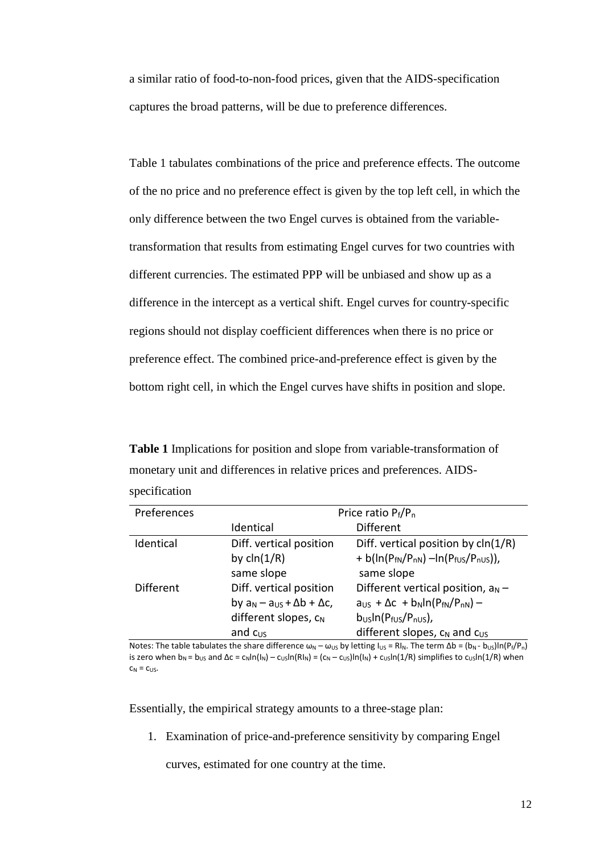a similar ratio of food-to-non-food prices, given that the AIDS-specification captures the broad patterns, will be due to preference differences.

Table 1 tabulates combinations of the price and preference effects. The outcome of the no price and no preference effect is given by the top left cell, in which the only difference between the two Engel curves is obtained from the variabletransformation that results from estimating Engel curves for two countries with different currencies. The estimated PPP will be unbiased and show up as a difference in the intercept as a vertical shift. Engel curves for country-specific regions should not display coefficient differences when there is no price or preference effect. The combined price-and-preference effect is given by the bottom right cell, in which the Engel curves have shifts in position and slope.

**Table 1** Implications for position and slope from variable-transformation of monetary unit and differences in relative prices and preferences. AIDSspecification

| Preferences | Price ratio $P_f/P_n$                     |                                                        |  |
|-------------|-------------------------------------------|--------------------------------------------------------|--|
|             | Identical                                 | <b>Different</b>                                       |  |
| Identical   | Diff. vertical position                   | Diff. vertical position by cln(1/R)                    |  |
|             | by $\text{cln}(1/R)$                      | + b( $\ln(P_{fN}/P_{nN}) - \ln(P_{fUS}/P_{nUS})$ ),    |  |
|             | same slope                                | same slope                                             |  |
| Different   | Diff. vertical position                   | Different vertical position, $a_N -$                   |  |
|             | by $a_N - a_{US} + \Delta b + \Delta c$ , | $aUS + \Delta c + bN ln(PfN/PnN) -$                    |  |
|             | different slopes, $c_N$                   | $b_{\text{US}}$ In( $P_{\text{fUS}}/P_{\text{nUS}}$ ), |  |
|             | and $c_{US}$                              | different slopes, $c_N$ and $c_{US}$                   |  |

Notes: The table tabulates the share difference  $\omega_N - \omega_{US}$  by letting  $I_{US} = RI_N$ . The term  $\Delta b = (b_N - b_{US})In(P_f/P_n)$ is zero when  $b_N = b_{US}$  and  $\Delta c = c_N \ln(|N_N) - c_{US} \ln(RN_N) = (c_N - c_{US})\ln(|N_N) + c_{US} \ln(1/R)$  simplifies to  $c_{US} \ln(1/R)$  when  $C_N = C_{US}$ .

Essentially, the empirical strategy amounts to a three-stage plan:

1. Examination of price-and-preference sensitivity by comparing Engel

curves, estimated for one country at the time.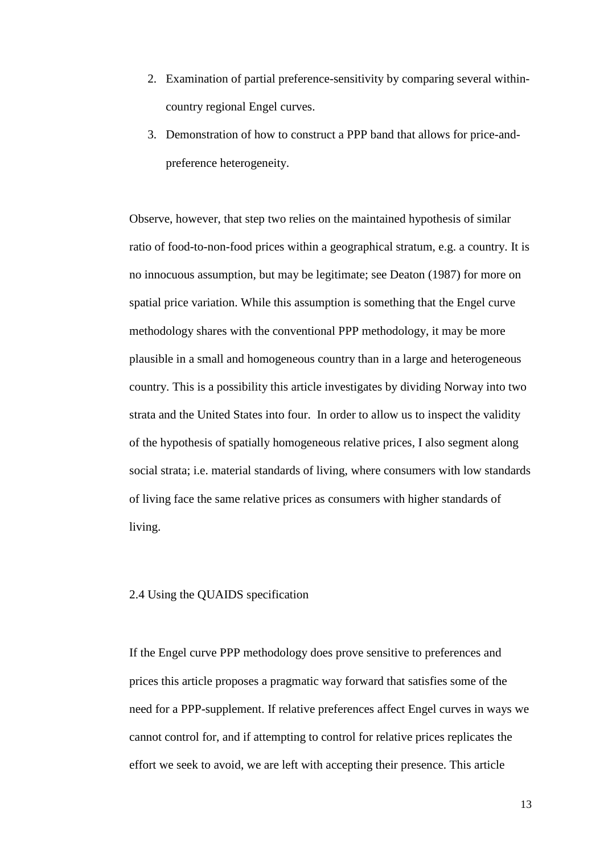- 2. Examination of partial preference-sensitivity by comparing several withincountry regional Engel curves.
- 3. Demonstration of how to construct a PPP band that allows for price-andpreference heterogeneity.

Observe, however, that step two relies on the maintained hypothesis of similar ratio of food-to-non-food prices within a geographical stratum, e.g. a country. It is no innocuous assumption, but may be legitimate; see Deaton (1987) for more on spatial price variation. While this assumption is something that the Engel curve methodology shares with the conventional PPP methodology, it may be more plausible in a small and homogeneous country than in a large and heterogeneous country. This is a possibility this article investigates by dividing Norway into two strata and the United States into four. In order to allow us to inspect the validity of the hypothesis of spatially homogeneous relative prices, I also segment along social strata; i.e. material standards of living, where consumers with low standards of living face the same relative prices as consumers with higher standards of living.

#### 2.4 Using the QUAIDS specification

If the Engel curve PPP methodology does prove sensitive to preferences and prices this article proposes a pragmatic way forward that satisfies some of the need for a PPP-supplement. If relative preferences affect Engel curves in ways we cannot control for, and if attempting to control for relative prices replicates the effort we seek to avoid, we are left with accepting their presence. This article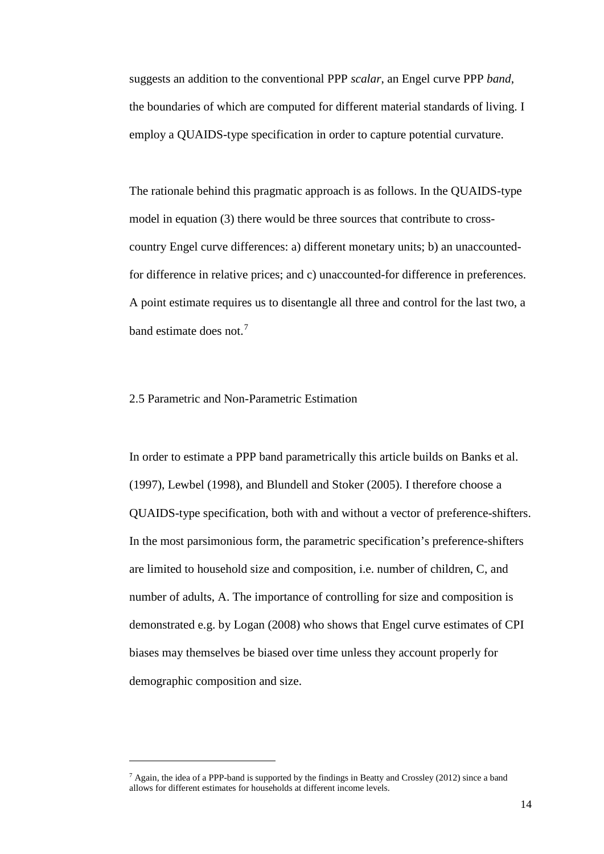suggests an addition to the conventional PPP *scalar*, an Engel curve PPP *band*, the boundaries of which are computed for different material standards of living. I employ a QUAIDS-type specification in order to capture potential curvature.

The rationale behind this pragmatic approach is as follows. In the QUAIDS-type model in equation (3) there would be three sources that contribute to crosscountry Engel curve differences: a) different monetary units; b) an unaccountedfor difference in relative prices; and c) unaccounted-for difference in preferences. A point estimate requires us to disentangle all three and control for the last two, a band estimate does not.<sup>[7](#page-13-0)</sup>

#### 2.5 Parametric and Non-Parametric Estimation

<u>.</u>

In order to estimate a PPP band parametrically this article builds on Banks et al. (1997), Lewbel (1998), and Blundell and Stoker (2005). I therefore choose a QUAIDS-type specification, both with and without a vector of preference-shifters. In the most parsimonious form, the parametric specification's preference-shifters are limited to household size and composition, i.e. number of children, C, and number of adults, A. The importance of controlling for size and composition is demonstrated e.g. by Logan (2008) who shows that Engel curve estimates of CPI biases may themselves be biased over time unless they account properly for demographic composition and size.

<span id="page-13-0"></span><sup>7</sup> Again, the idea of a PPP-band is supported by the findings in Beatty and Crossley (2012) since a band allows for different estimates for households at different income levels.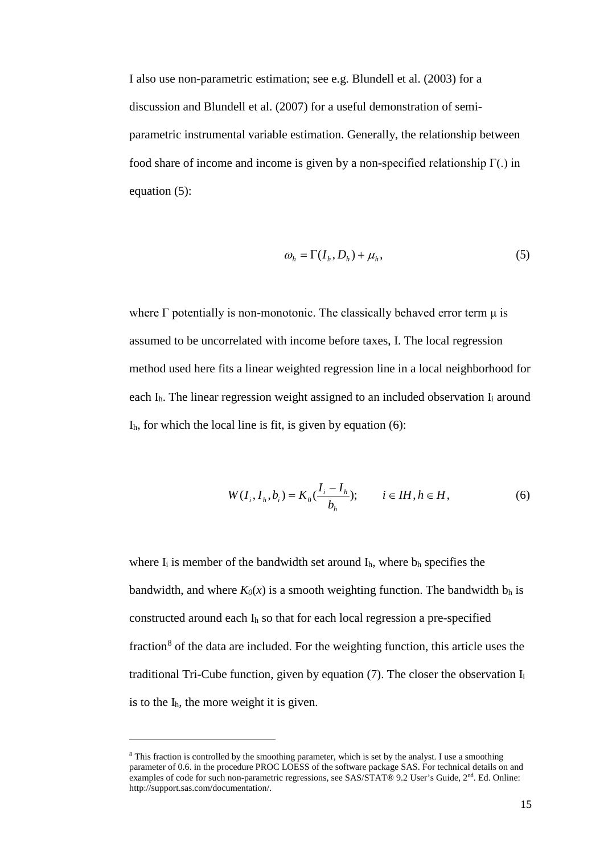I also use non-parametric estimation; see e.g. Blundell et al. (2003) for a discussion and Blundell et al. (2007) for a useful demonstration of semiparametric instrumental variable estimation. Generally, the relationship between food share of income and income is given by a non-specified relationship  $\Gamma(.)$  in equation (5):

$$
\omega_h = \Gamma(I_h, D_h) + \mu_h,\tag{5}
$$

where  $\Gamma$  potentially is non-monotonic. The classically behaved error term  $\mu$  is assumed to be uncorrelated with income before taxes, I. The local regression method used here fits a linear weighted regression line in a local neighborhood for each  $I<sub>h</sub>$ . The linear regression weight assigned to an included observation  $I<sub>i</sub>$  around  $I<sub>h</sub>$ , for which the local line is fit, is given by equation (6):

$$
W(I_i, I_h, b_i) = K_0(\frac{I_i - I_h}{b_h}); \t i \in IH, h \in H,
$$
\t(6)

where  $I_i$  is member of the bandwidth set around  $I_h$ , where  $b_h$  specifies the bandwidth, and where  $K_0(x)$  is a smooth weighting function. The bandwidth  $b_h$  is constructed around each Ih so that for each local regression a pre-specified fraction<sup>[8](#page-14-0)</sup> of the data are included. For the weighting function, this article uses the traditional Tri-Cube function, given by equation  $(7)$ . The closer the observation  $I_i$ is to the Ih, the more weight it is given.

-

<span id="page-14-0"></span><sup>8</sup> This fraction is controlled by the smoothing parameter, which is set by the analyst. I use a smoothing parameter of 0.6. in the procedure PROC LOESS of the software package SAS. For technical details on and examples of code for such non-parametric regressions, see SAS/STAT® 9.2 User's Guide, 2<sup>nd</sup>. Ed. Online: http://support.sas.com/documentation/.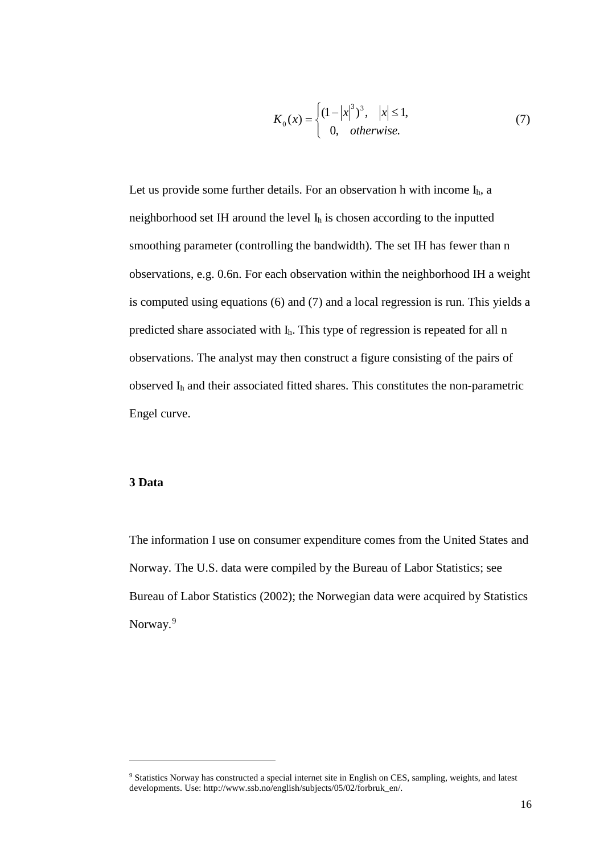$$
K_0(x) = \begin{cases} (1-|x|^3)^3, & |x| \le 1, \\ 0, & otherwise. \end{cases}
$$
 (7)

Let us provide some further details. For an observation h with income  $I_h$ , a neighborhood set IH around the level Ih is chosen according to the inputted smoothing parameter (controlling the bandwidth). The set IH has fewer than n observations, e.g. 0.6n. For each observation within the neighborhood IH a weight is computed using equations (6) and (7) and a local regression is run. This yields a predicted share associated with Ih. This type of regression is repeated for all n observations. The analyst may then construct a figure consisting of the pairs of observed Ih and their associated fitted shares. This constitutes the non-parametric Engel curve.

### **3 Data**

<u>.</u>

The information I use on consumer expenditure comes from the United States and Norway. The U.S. data were compiled by the Bureau of Labor Statistics; see Bureau of Labor Statistics (2002); the Norwegian data were acquired by Statistics Norway.<sup>[9](#page-15-0)</sup>

<span id="page-15-0"></span><sup>&</sup>lt;sup>9</sup> Statistics Norway has constructed a special internet site in English on CES, sampling, weights, and latest developments. Use: http://www.ssb.no/english/subjects/05/02/forbruk\_en/.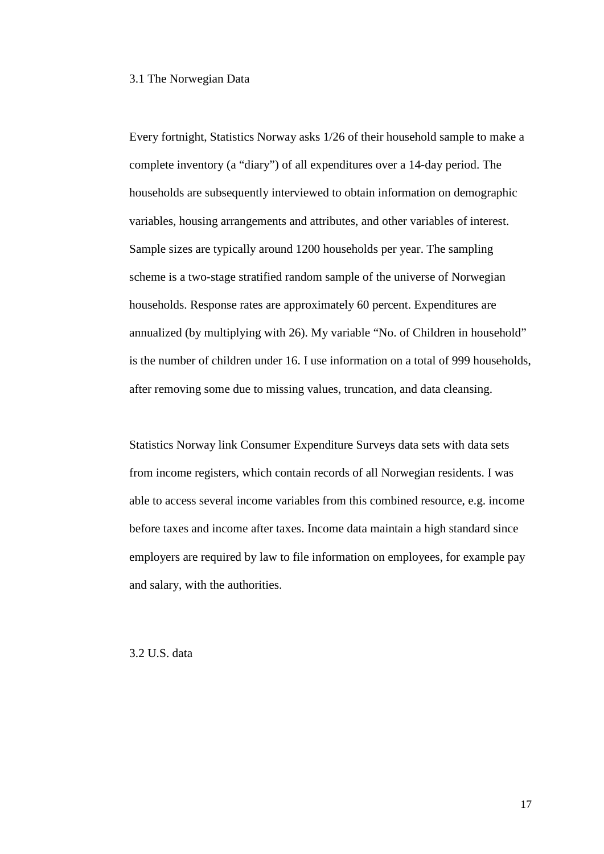#### 3.1 The Norwegian Data

Every fortnight, Statistics Norway asks 1/26 of their household sample to make a complete inventory (a "diary") of all expenditures over a 14-day period. The households are subsequently interviewed to obtain information on demographic variables, housing arrangements and attributes, and other variables of interest. Sample sizes are typically around 1200 households per year. The sampling scheme is a two-stage stratified random sample of the universe of Norwegian households. Response rates are approximately 60 percent. Expenditures are annualized (by multiplying with 26). My variable "No. of Children in household" is the number of children under 16. I use information on a total of 999 households, after removing some due to missing values, truncation, and data cleansing.

Statistics Norway link Consumer Expenditure Surveys data sets with data sets from income registers, which contain records of all Norwegian residents. I was able to access several income variables from this combined resource, e.g. income before taxes and income after taxes. Income data maintain a high standard since employers are required by law to file information on employees, for example pay and salary, with the authorities.

3.2 U.S. data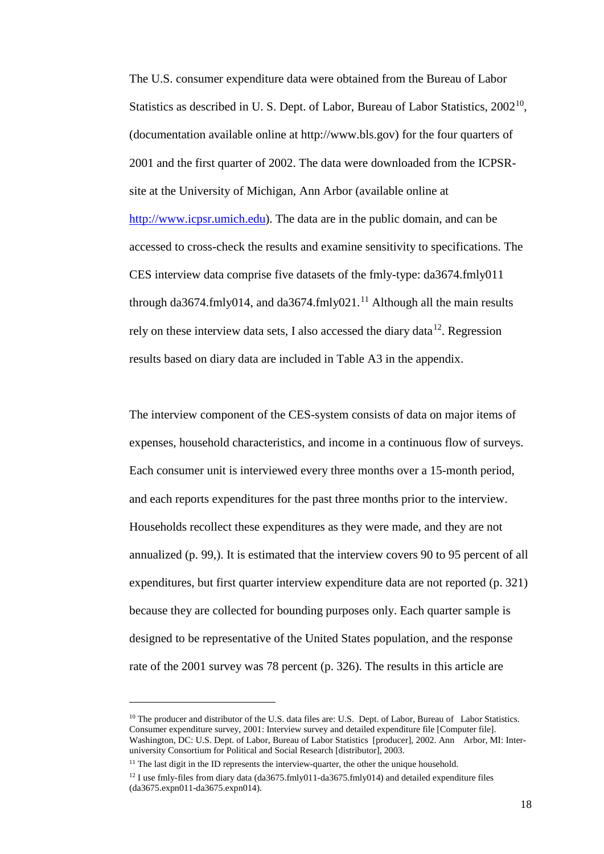The U.S. consumer expenditure data were obtained from the Bureau of Labor Statistics as described in U. S. Dept. of Labor, Bureau of Labor Statistics, 2002<sup>10</sup>, (documentation available online at http://www.bls.gov) for the four quarters of 2001 and the first quarter of 2002. The data were downloaded from the ICPSRsite at the University of Michigan, Ann Arbor (available online at [http://www.icpsr.umich.edu\)](http://www.icpsr.umich.edu/). The data are in the public domain, and can be accessed to cross-check the results and examine sensitivity to specifications. The CES interview data comprise five datasets of the fmly-type: da3674.fmly011 through da3674.fmly014, and da3674.fmly021.<sup>[11](#page-17-1)</sup> Although all the main results rely on these interview data sets, I also accessed the diary data<sup>12</sup>. Regression results based on diary data are included in Table A3 in the appendix.

The interview component of the CES-system consists of data on major items of expenses, household characteristics, and income in a continuous flow of surveys. Each consumer unit is interviewed every three months over a 15-month period, and each reports expenditures for the past three months prior to the interview. Households recollect these expenditures as they were made, and they are not annualized (p. 99,). It is estimated that the interview covers 90 to 95 percent of all expenditures, but first quarter interview expenditure data are not reported (p. 321) because they are collected for bounding purposes only. Each quarter sample is designed to be representative of the United States population, and the response rate of the 2001 survey was 78 percent (p. 326). The results in this article are

-

<span id="page-17-0"></span><sup>&</sup>lt;sup>10</sup> The producer and distributor of the U.S. data files are: U.S. Dept. of Labor, Bureau of Labor Statistics. Consumer expenditure survey, 2001: Interview survey and detailed expenditure file [Computer file]. Washington, DC: U.S. Dept. of Labor, Bureau of Labor Statistics [producer], 2002. Ann Arbor, MI: Interuniversity Consortium for Political and Social Research [distributor], 2003.

<span id="page-17-1"></span> $11$  The last digit in the ID represents the interview-quarter, the other the unique household.

<span id="page-17-2"></span><sup>&</sup>lt;sup>12</sup> I use fmly-files from diary data (da3675.fmly011-da3675.fmly014) and detailed expenditure files (da3675.expn011-da3675.expn014).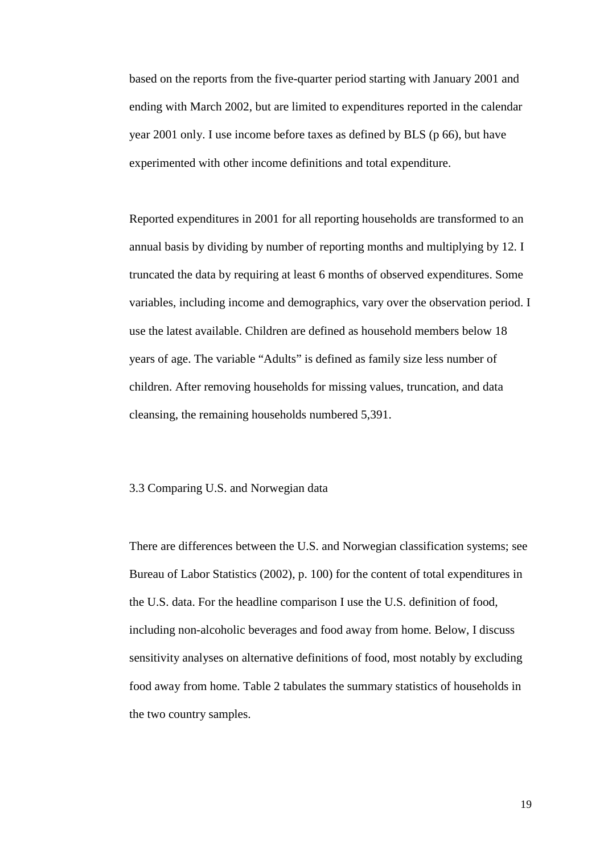based on the reports from the five-quarter period starting with January 2001 and ending with March 2002, but are limited to expenditures reported in the calendar year 2001 only. I use income before taxes as defined by BLS (p 66), but have experimented with other income definitions and total expenditure.

Reported expenditures in 2001 for all reporting households are transformed to an annual basis by dividing by number of reporting months and multiplying by 12. I truncated the data by requiring at least 6 months of observed expenditures. Some variables, including income and demographics, vary over the observation period. I use the latest available. Children are defined as household members below 18 years of age. The variable "Adults" is defined as family size less number of children. After removing households for missing values, truncation, and data cleansing, the remaining households numbered 5,391.

#### 3.3 Comparing U.S. and Norwegian data

There are differences between the U.S. and Norwegian classification systems; see Bureau of Labor Statistics (2002), p. 100) for the content of total expenditures in the U.S. data. For the headline comparison I use the U.S. definition of food, including non-alcoholic beverages and food away from home. Below, I discuss sensitivity analyses on alternative definitions of food, most notably by excluding food away from home. Table 2 tabulates the summary statistics of households in the two country samples.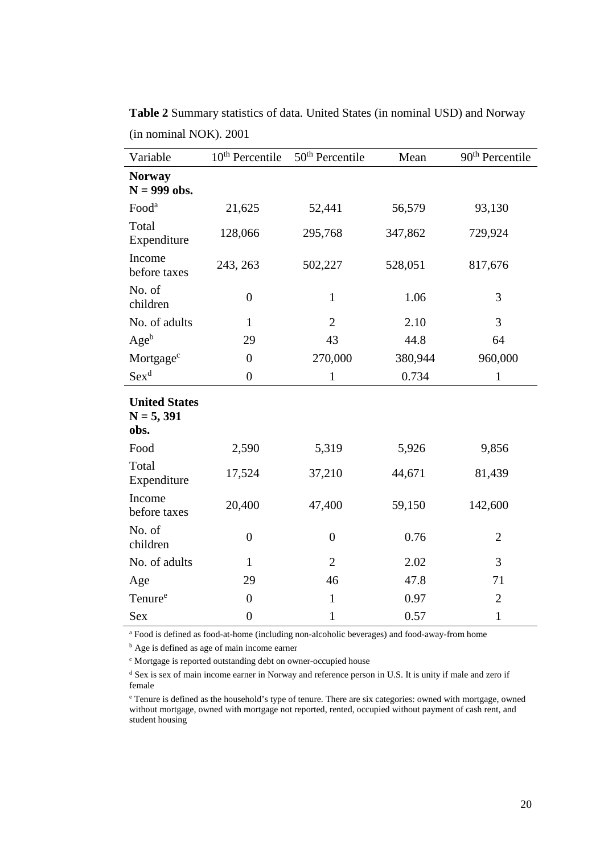| Variable                                     | 10 <sup>th</sup> Percentile | 50 <sup>th</sup> Percentile | Mean    | 90 <sup>th</sup> Percentile |
|----------------------------------------------|-----------------------------|-----------------------------|---------|-----------------------------|
| <b>Norway</b><br>$N = 999$ obs.              |                             |                             |         |                             |
| Food <sup>a</sup>                            | 21,625                      | 52,441                      | 56,579  | 93,130                      |
| Total<br>Expenditure                         | 128,066                     | 295,768                     | 347,862 | 729,924                     |
| Income<br>before taxes                       | 243, 263                    | 502,227                     | 528,051 | 817,676                     |
| No. of<br>children                           | $\boldsymbol{0}$            | $\mathbf{1}$                | 1.06    | 3                           |
| No. of adults                                | $\mathbf{1}$                | $\overline{2}$              | 2.10    | 3                           |
| $Age^b$                                      | 29                          | 43                          | 44.8    | 64                          |
| Mortgage <sup>c</sup>                        | $\boldsymbol{0}$            | 270,000                     | 380,944 | 960,000                     |
| $\operatorname{Sex}^d$                       | $\boldsymbol{0}$            | $\mathbf{1}$                | 0.734   | $\mathbf{1}$                |
| <b>United States</b><br>$N = 5, 391$<br>obs. |                             |                             |         |                             |
| Food                                         | 2,590                       | 5,319                       | 5,926   | 9,856                       |
| Total<br>Expenditure                         | 17,524                      | 37,210                      | 44,671  | 81,439                      |
| Income<br>before taxes                       | 20,400                      | 47,400                      | 59,150  | 142,600                     |
| No. of<br>children                           | $\boldsymbol{0}$            | $\overline{0}$              | 0.76    | $\overline{2}$              |
| No. of adults                                | $\mathbf{1}$                | $\overline{2}$              | 2.02    | 3                           |
| Age                                          | 29                          | 46                          | 47.8    | 71                          |
| Tenure <sup>e</sup>                          | $\overline{0}$              | $\mathbf{1}$                | 0.97    | $\overline{2}$              |
| <b>Sex</b>                                   | $\overline{0}$              | $\mathbf{1}$                | 0.57    | $\mathbf{1}$                |

**Table 2** Summary statistics of data. United States (in nominal USD) and Norway (in nominal NOK). 2001

<sup>a</sup> Food is defined as food-at-home (including non-alcoholic beverages) and food-away-from home

<sup>b</sup> Age is defined as age of main income earner

<sup>c</sup> Mortgage is reported outstanding debt on owner-occupied house

<sup>d</sup> Sex is sex of main income earner in Norway and reference person in U.S. It is unity if male and zero if female

<sup>e</sup> Tenure is defined as the household's type of tenure. There are six categories: owned with mortgage, owned without mortgage, owned with mortgage not reported, rented, occupied without payment of cash rent, and student housing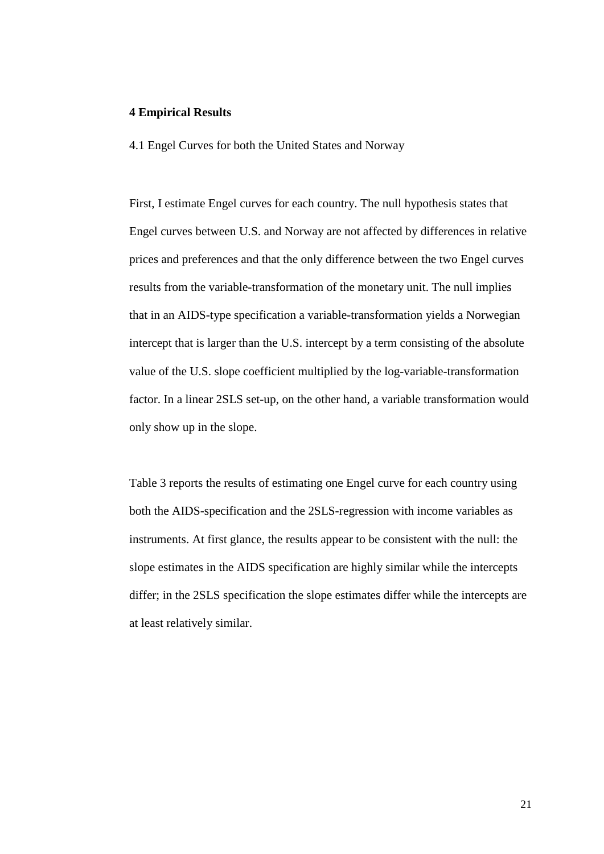#### **4 Empirical Results**

4.1 Engel Curves for both the United States and Norway

First, I estimate Engel curves for each country. The null hypothesis states that Engel curves between U.S. and Norway are not affected by differences in relative prices and preferences and that the only difference between the two Engel curves results from the variable-transformation of the monetary unit. The null implies that in an AIDS-type specification a variable-transformation yields a Norwegian intercept that is larger than the U.S. intercept by a term consisting of the absolute value of the U.S. slope coefficient multiplied by the log-variable-transformation factor. In a linear 2SLS set-up, on the other hand, a variable transformation would only show up in the slope.

Table 3 reports the results of estimating one Engel curve for each country using both the AIDS-specification and the 2SLS-regression with income variables as instruments. At first glance, the results appear to be consistent with the null: the slope estimates in the AIDS specification are highly similar while the intercepts differ; in the 2SLS specification the slope estimates differ while the intercepts are at least relatively similar.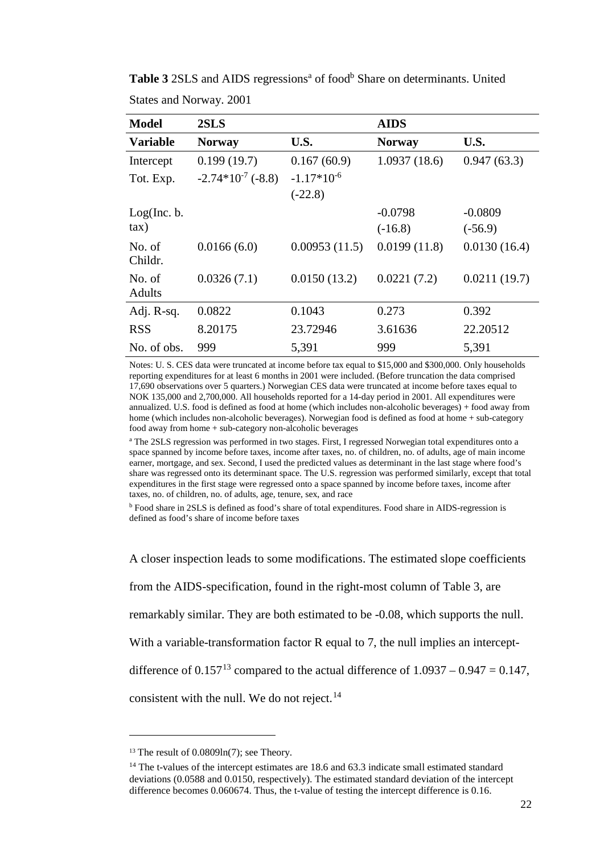| <b>Model</b>            | 2SLS                   |                 | <b>AIDS</b>   |              |
|-------------------------|------------------------|-----------------|---------------|--------------|
| <b>Variable</b>         | <b>Norway</b>          | U.S.            | <b>Norway</b> | U.S.         |
| Intercept               | 0.199(19.7)            | 0.167(60.9)     | 1.0937(18.6)  | 0.947(63.3)  |
| Tot. Exp.               | $-2.74*10^{-7}$ (-8.8) | $-1.17*10^{-6}$ |               |              |
|                         |                        | $(-22.8)$       |               |              |
| Log(Inc. b.             |                        |                 | $-0.0798$     | $-0.0809$    |
| $\tan$ )                |                        |                 | $(-16.8)$     | $(-56.9)$    |
| No. of<br>Childr.       | 0.0166(6.0)            | 0.00953(11.5)   | 0.0199(11.8)  | 0.0130(16.4) |
| No. of<br><b>Adults</b> | 0.0326(7.1)            | 0.0150(13.2)    | 0.0221(7.2)   | 0.0211(19.7) |
| Adj. R-sq.              | 0.0822                 | 0.1043          | 0.273         | 0.392        |
| <b>RSS</b>              | 8.20175                | 23.72946        | 3.61636       | 22.20512     |
| No. of obs.             | 999                    | 5,391           | 999           | 5,391        |

Table 3 2SLS and AIDS regressions<sup>a</sup> of food<sup>b</sup> Share on determinants. United States and Norway. 2001

Notes: U. S. CES data were truncated at income before tax equal to \$15,000 and \$300,000. Only households reporting expenditures for at least 6 months in 2001 were included. (Before truncation the data comprised 17,690 observations over 5 quarters.) Norwegian CES data were truncated at income before taxes equal to NOK 135,000 and 2,700,000. All households reported for a 14-day period in 2001. All expenditures were annualized. U.S. food is defined as food at home (which includes non-alcoholic beverages) + food away from home (which includes non-alcoholic beverages). Norwegian food is defined as food at home + sub-category food away from home + sub-category non-alcoholic beverages

<sup>a</sup> The 2SLS regression was performed in two stages. First, I regressed Norwegian total expenditures onto a space spanned by income before taxes, income after taxes, no. of children, no. of adults, age of main income earner, mortgage, and sex. Second, I used the predicted values as determinant in the last stage where food's share was regressed onto its determinant space. The U.S. regression was performed similarly, except that total expenditures in the first stage were regressed onto a space spanned by income before taxes, income after taxes, no. of children, no. of adults, age, tenure, sex, and race

<sup>b</sup> Food share in 2SLS is defined as food's share of total expenditures. Food share in AIDS-regression is defined as food's share of income before taxes

A closer inspection leads to some modifications. The estimated slope coefficients from the AIDS-specification, found in the right-most column of Table 3, are remarkably similar. They are both estimated to be -0.08, which supports the null. With a variable-transformation factor R equal to 7, the null implies an interceptdifference of  $0.157^{13}$  $0.157^{13}$  $0.157^{13}$  compared to the actual difference of  $1.0937 - 0.947 = 0.147$ , consistent with the null. We do not reject. $^{14}$  $^{14}$  $^{14}$ 

-

<span id="page-21-0"></span><sup>&</sup>lt;sup>13</sup> The result of  $0.0809\ln(7)$ ; see Theory.

<span id="page-21-1"></span><sup>&</sup>lt;sup>14</sup> The t-values of the intercept estimates are 18.6 and 63.3 indicate small estimated standard deviations (0.0588 and 0.0150, respectively). The estimated standard deviation of the intercept difference becomes 0.060674. Thus, the t-value of testing the intercept difference is 0.16.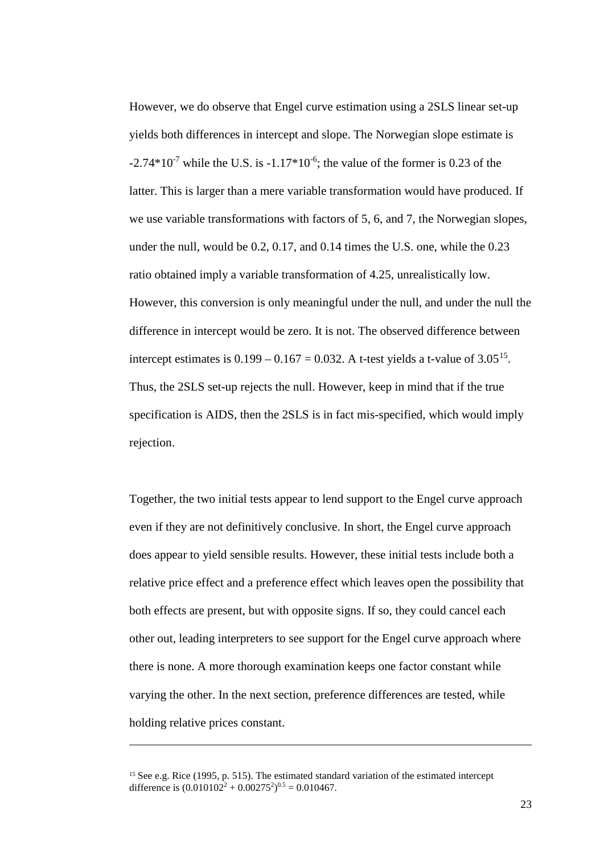However, we do observe that Engel curve estimation using a 2SLS linear set-up yields both differences in intercept and slope. The Norwegian slope estimate is  $-2.74*10^{-7}$  while the U.S. is  $-1.17*10^{-6}$ ; the value of the former is 0.23 of the latter. This is larger than a mere variable transformation would have produced. If we use variable transformations with factors of 5, 6, and 7, the Norwegian slopes, under the null, would be 0.2, 0.17, and 0.14 times the U.S. one, while the 0.23 ratio obtained imply a variable transformation of 4.25, unrealistically low. However, this conversion is only meaningful under the null, and under the null the difference in intercept would be zero. It is not. The observed difference between intercept estimates is  $0.199 - 0.167 = 0.032$ . A t-test yields a t-value of  $3.05^{15}$ . Thus, the 2SLS set-up rejects the null. However, keep in mind that if the true specification is AIDS, then the 2SLS is in fact mis-specified, which would imply rejection.

Together, the two initial tests appear to lend support to the Engel curve approach even if they are not definitively conclusive. In short, the Engel curve approach does appear to yield sensible results. However, these initial tests include both a relative price effect and a preference effect which leaves open the possibility that both effects are present, but with opposite signs. If so, they could cancel each other out, leading interpreters to see support for the Engel curve approach where there is none. A more thorough examination keeps one factor constant while varying the other. In the next section, preference differences are tested, while holding relative prices constant.

<u>.</u>

<span id="page-22-0"></span><sup>&</sup>lt;sup>15</sup> See e.g. Rice (1995, p. 515). The estimated standard variation of the estimated intercept difference is  $(0.010102^2 + 0.00275^2)^{0.5} = 0.010467$ .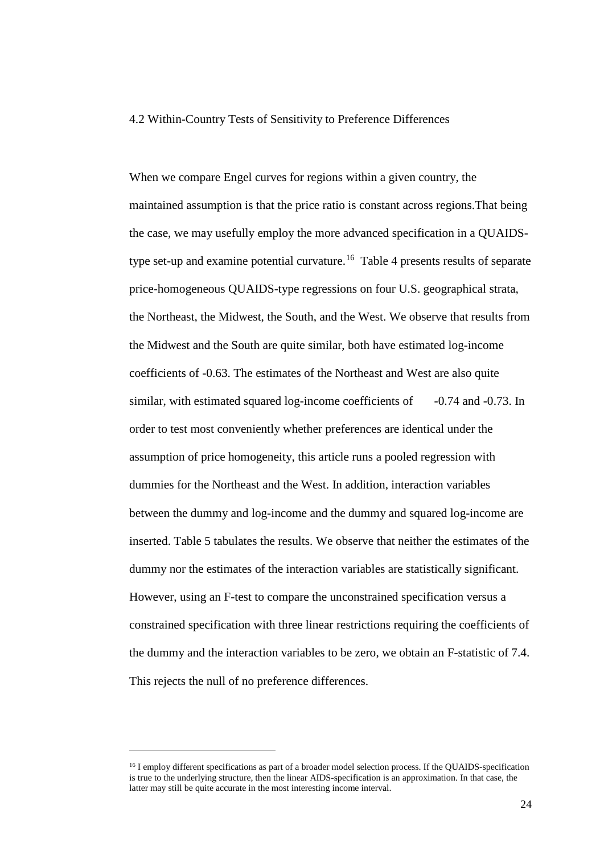#### 4.2 Within-Country Tests of Sensitivity to Preference Differences

When we compare Engel curves for regions within a given country, the maintained assumption is that the price ratio is constant across regions.That being the case, we may usefully employ the more advanced specification in a QUAIDStype set-up and examine potential curvature.[16](#page-23-0) Table 4 presents results of separate price-homogeneous QUAIDS-type regressions on four U.S. geographical strata, the Northeast, the Midwest, the South, and the West. We observe that results from the Midwest and the South are quite similar, both have estimated log-income coefficients of -0.63. The estimates of the Northeast and West are also quite similar, with estimated squared log-income coefficients of -0.74 and -0.73. In order to test most conveniently whether preferences are identical under the assumption of price homogeneity, this article runs a pooled regression with dummies for the Northeast and the West. In addition, interaction variables between the dummy and log-income and the dummy and squared log-income are inserted. Table 5 tabulates the results. We observe that neither the estimates of the dummy nor the estimates of the interaction variables are statistically significant. However, using an F-test to compare the unconstrained specification versus a constrained specification with three linear restrictions requiring the coefficients of the dummy and the interaction variables to be zero, we obtain an F-statistic of 7.4. This rejects the null of no preference differences.

<u>.</u>

<span id="page-23-0"></span><sup>&</sup>lt;sup>16</sup> I employ different specifications as part of a broader model selection process. If the QUAIDS-specification is true to the underlying structure, then the linear AIDS-specification is an approximation. In that case, the latter may still be quite accurate in the most interesting income interval.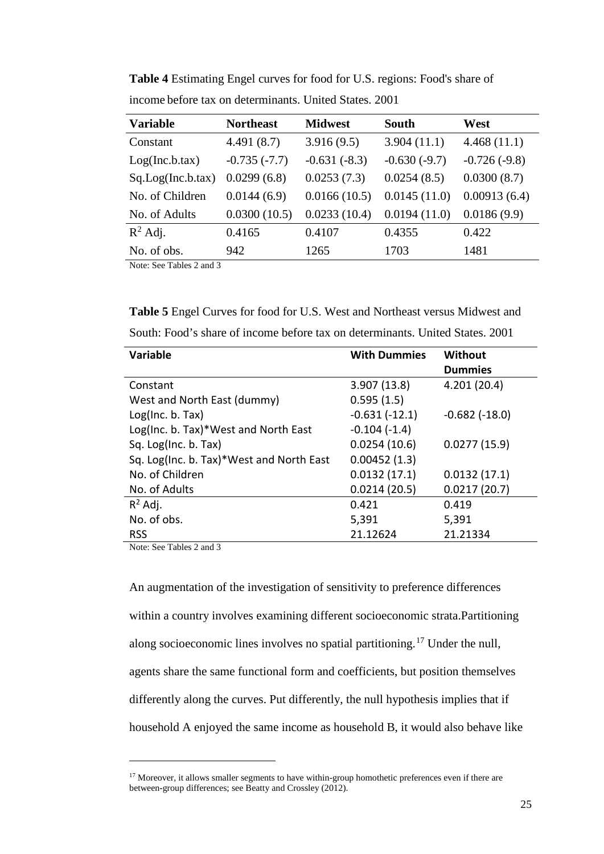| <b>Variable</b>                         | <b>Northeast</b> | <b>Midwest</b> | <b>South</b>   | West           |
|-----------------------------------------|------------------|----------------|----------------|----------------|
| Constant                                | 4.491(8.7)       | 3.916(9.5)     | 3.904(11.1)    | 4.468(11.1)    |
| Log(Inc.b. tax)                         | $-0.735(-7.7)$   | $-0.631(-8.3)$ | $-0.630(-9.7)$ | $-0.726(-9.8)$ |
| Sq.Log(Inc.b.tax)                       | 0.0299(6.8)      | 0.0253(7.3)    | 0.0254(8.5)    | 0.0300(8.7)    |
| No. of Children                         | 0.0144(6.9)      | 0.0166(10.5)   | 0.0145(11.0)   | 0.00913(6.4)   |
| No. of Adults                           | 0.0300(10.5)     | 0.0233(10.4)   | 0.0194(11.0)   | 0.0186(9.9)    |
| $R^2$ Adj.                              | 0.4165           | 0.4107         | 0.4355         | 0.422          |
| No. of obs.<br>$\overline{\phantom{a}}$ | 942              | 1265           | 1703           | 1481           |

**Table 4** Estimating Engel curves for food for U.S. regions: Food's share of income before tax on determinants. United States. 2001

Note: See Tables 2 and 3

**Table 5** Engel Curves for food for U.S. West and Northeast versus Midwest and South: Food's share of income before tax on determinants. United States. 2001

| Variable                                 | <b>With Dummies</b> | Without              |  |
|------------------------------------------|---------------------|----------------------|--|
|                                          |                     | <b>Dummies</b>       |  |
| Constant                                 | 3.907(13.8)         | 4.201(20.4)          |  |
| West and North East (dummy)              | 0.595(1.5)          |                      |  |
| Log(Inc. b. Tax)                         | $-0.631(-12.1)$     | $-0.682$ ( $-18.0$ ) |  |
| Log(Inc. b. Tax)*West and North East     | $-0.104(-1.4)$      |                      |  |
| Sq. Log(Inc. b. Tax)                     | 0.0254(10.6)        | 0.0277(15.9)         |  |
| Sq. Log(Inc. b. Tax)*West and North East | 0.00452(1.3)        |                      |  |
| No. of Children                          | 0.0132(17.1)        | 0.0132(17.1)         |  |
| No. of Adults                            | 0.0214(20.5)        | 0.0217(20.7)         |  |
| $R^2$ Adj.                               | 0.421               | 0.419                |  |
| No. of obs.                              | 5,391               | 5,391                |  |
| <b>RSS</b>                               | 21.12624            | 21.21334             |  |

Note: See Tables 2 and 3

<u>.</u>

An augmentation of the investigation of sensitivity to preference differences within a country involves examining different socioeconomic strata.Partitioning along socioeconomic lines involves no spatial partitioning.[17](#page-24-0) Under the null, agents share the same functional form and coefficients, but position themselves differently along the curves. Put differently, the null hypothesis implies that if household A enjoyed the same income as household B, it would also behave like

<span id="page-24-0"></span><sup>&</sup>lt;sup>17</sup> Moreover, it allows smaller segments to have within-group homothetic preferences even if there are between-group differences; see Beatty and Crossley (2012).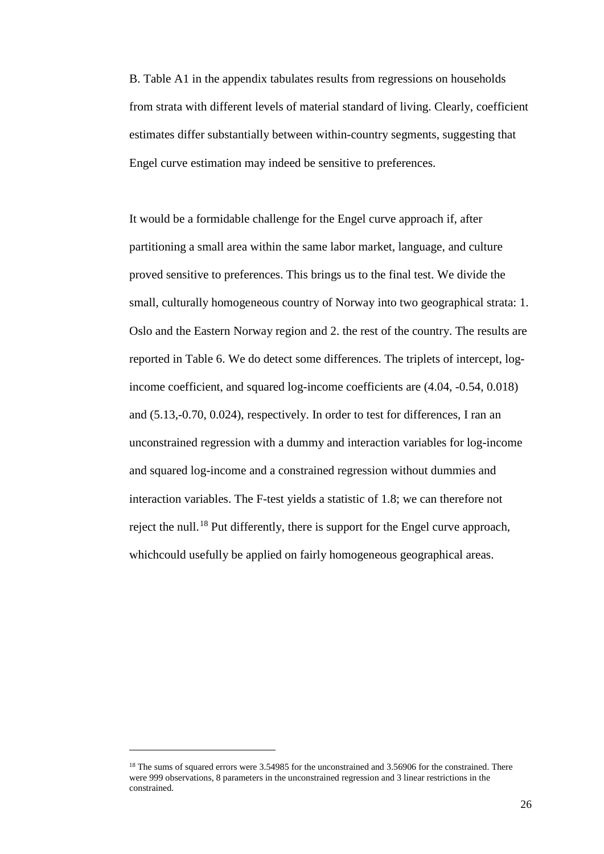B. Table A1 in the appendix tabulates results from regressions on households from strata with different levels of material standard of living. Clearly, coefficient estimates differ substantially between within-country segments, suggesting that Engel curve estimation may indeed be sensitive to preferences.

It would be a formidable challenge for the Engel curve approach if, after partitioning a small area within the same labor market, language, and culture proved sensitive to preferences. This brings us to the final test. We divide the small, culturally homogeneous country of Norway into two geographical strata: 1. Oslo and the Eastern Norway region and 2. the rest of the country. The results are reported in Table 6. We do detect some differences. The triplets of intercept, logincome coefficient, and squared log-income coefficients are (4.04, -0.54, 0.018) and (5.13,-0.70, 0.024), respectively. In order to test for differences, I ran an unconstrained regression with a dummy and interaction variables for log-income and squared log-income and a constrained regression without dummies and interaction variables. The F-test yields a statistic of 1.8; we can therefore not reject the null.[18](#page-25-0) Put differently, there is support for the Engel curve approach, whichcould usefully be applied on fairly homogeneous geographical areas.

<u>.</u>

<span id="page-25-0"></span><sup>&</sup>lt;sup>18</sup> The sums of squared errors were 3.54985 for the unconstrained and 3.56906 for the constrained. There were 999 observations, 8 parameters in the unconstrained regression and 3 linear restrictions in the constrained.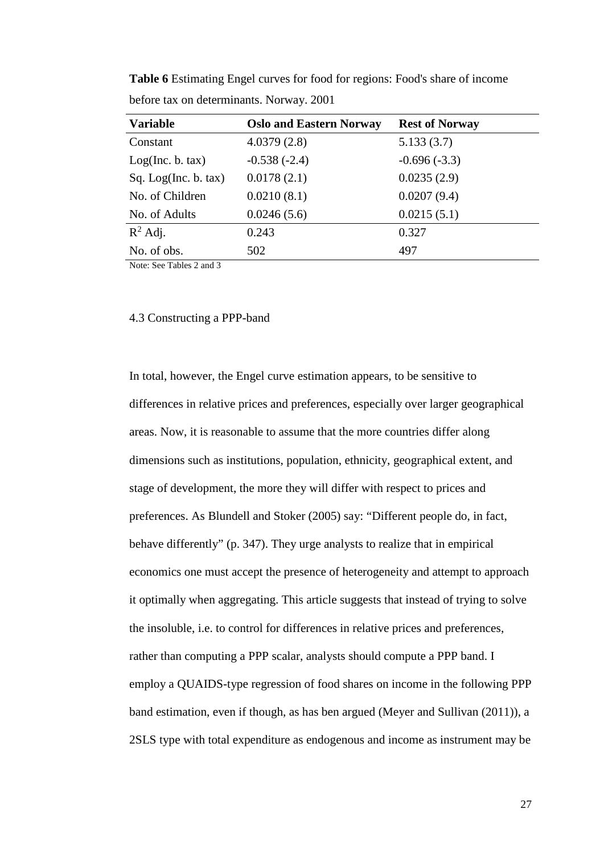| <b>Variable</b>      | <b>Oslo and Eastern Norway</b> | <b>Rest of Norway</b> |
|----------------------|--------------------------------|-----------------------|
| Constant             | 4.0379(2.8)                    | 5.133(3.7)            |
| Log(Inc, b, tax)     | $-0.538(-2.4)$                 | $-0.696(-3.3)$        |
| Sq. Log(Inc. b. tax) | 0.0178(2.1)                    | 0.0235(2.9)           |
| No. of Children      | 0.0210(8.1)                    | 0.0207(9.4)           |
| No. of Adults        | 0.0246(5.6)                    | 0.0215(5.1)           |
| $R^2$ Adj.           | 0.243                          | 0.327                 |
| No. of obs.          | 502                            | 497                   |

**Table 6** Estimating Engel curves for food for regions: Food's share of income before tax on determinants. Norway. 2001

Note: See Tables 2 and 3

#### 4.3 Constructing a PPP-band

In total, however, the Engel curve estimation appears, to be sensitive to differences in relative prices and preferences, especially over larger geographical areas. Now, it is reasonable to assume that the more countries differ along dimensions such as institutions, population, ethnicity, geographical extent, and stage of development, the more they will differ with respect to prices and preferences. As Blundell and Stoker (2005) say: "Different people do, in fact, behave differently" (p. 347). They urge analysts to realize that in empirical economics one must accept the presence of heterogeneity and attempt to approach it optimally when aggregating. This article suggests that instead of trying to solve the insoluble, i.e. to control for differences in relative prices and preferences, rather than computing a PPP scalar, analysts should compute a PPP band. I employ a QUAIDS-type regression of food shares on income in the following PPP band estimation, even if though, as has ben argued (Meyer and Sullivan (2011)), a 2SLS type with total expenditure as endogenous and income as instrument may be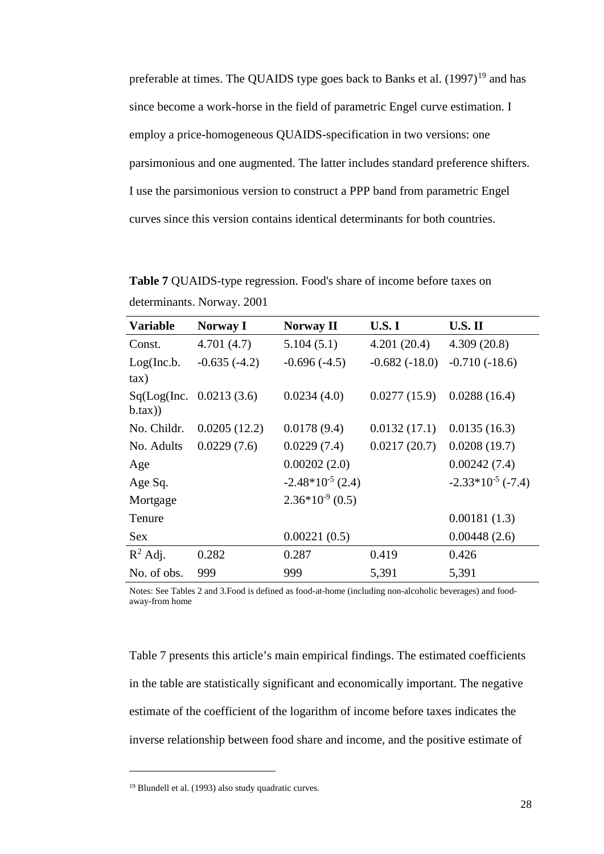preferable at times. The QUAIDS type goes back to Banks et al.  $(1997)^{19}$  $(1997)^{19}$  $(1997)^{19}$  and has since become a work-horse in the field of parametric Engel curve estimation. I employ a price-homogeneous QUAIDS-specification in two versions: one parsimonious and one augmented. The latter includes standard preference shifters. I use the parsimonious version to construct a PPP band from parametric Engel curves since this version contains identical determinants for both countries.

**Table 7** QUAIDS-type regression. Food's share of income before taxes on determinants. Norway. 2001

| <b>Variable</b> | <b>Norway I</b>          | <b>Norway II</b>      | <b>U.S.I</b>    | <b>U.S. II</b>         |
|-----------------|--------------------------|-----------------------|-----------------|------------------------|
| Const.          | 4.701(4.7)               | 5.104(5.1)            | 4.201(20.4)     | 4.309(20.8)            |
| Log(Inc.b.      | $-0.635(-4.2)$           | $-0.696(-4.5)$        | $-0.682(-18.0)$ | $-0.710(-18.6)$        |
| $\tan$ )        |                          |                       |                 |                        |
|                 | Sq(Log(Inc. 0.0213(3.6)) | 0.0234(4.0)           | 0.0277(15.9)    | 0.0288(16.4)           |
| $b.$ tax $))$   |                          |                       |                 |                        |
| No. Childr.     | 0.0205(12.2)             | 0.0178(9.4)           | 0.0132(17.1)    | 0.0135(16.3)           |
| No. Adults      | 0.0229(7.6)              | 0.0229(7.4)           | 0.0217(20.7)    | 0.0208(19.7)           |
| Age             |                          | 0.00202(2.0)          |                 | 0.00242(7.4)           |
| Age Sq.         |                          | $-2.48*10^{-5}$ (2.4) |                 | $-2.33*10^{-5}$ (-7.4) |
| Mortgage        |                          | $2.36*10-9$ (0.5)     |                 |                        |
| Tenure          |                          |                       |                 | 0.00181(1.3)           |
| <b>Sex</b>      |                          | 0.00221(0.5)          |                 | 0.00448(2.6)           |
| $R^2$ Adj.      | 0.282                    | 0.287                 | 0.419           | 0.426                  |
| No. of obs.     | 999                      | 999                   | 5,391           | 5,391                  |

Notes: See Tables 2 and 3.Food is defined as food-at-home (including non-alcoholic beverages) and foodaway-from home

Table 7 presents this article's main empirical findings. The estimated coefficients in the table are statistically significant and economically important. The negative estimate of the coefficient of the logarithm of income before taxes indicates the inverse relationship between food share and income, and the positive estimate of

-

<span id="page-27-0"></span><sup>19</sup> Blundell et al. (1993) also study quadratic curves.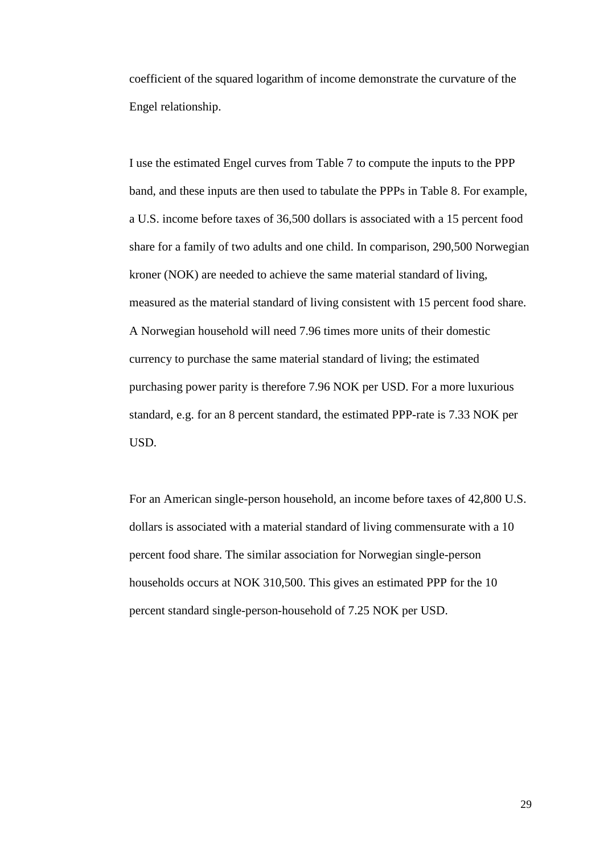coefficient of the squared logarithm of income demonstrate the curvature of the Engel relationship.

I use the estimated Engel curves from Table 7 to compute the inputs to the PPP band, and these inputs are then used to tabulate the PPPs in Table 8. For example, a U.S. income before taxes of 36,500 dollars is associated with a 15 percent food share for a family of two adults and one child. In comparison, 290,500 Norwegian kroner (NOK) are needed to achieve the same material standard of living, measured as the material standard of living consistent with 15 percent food share. A Norwegian household will need 7.96 times more units of their domestic currency to purchase the same material standard of living; the estimated purchasing power parity is therefore 7.96 NOK per USD. For a more luxurious standard, e.g. for an 8 percent standard, the estimated PPP-rate is 7.33 NOK per USD.

For an American single-person household, an income before taxes of 42,800 U.S. dollars is associated with a material standard of living commensurate with a 10 percent food share. The similar association for Norwegian single-person households occurs at NOK 310,500. This gives an estimated PPP for the 10 percent standard single-person-household of 7.25 NOK per USD.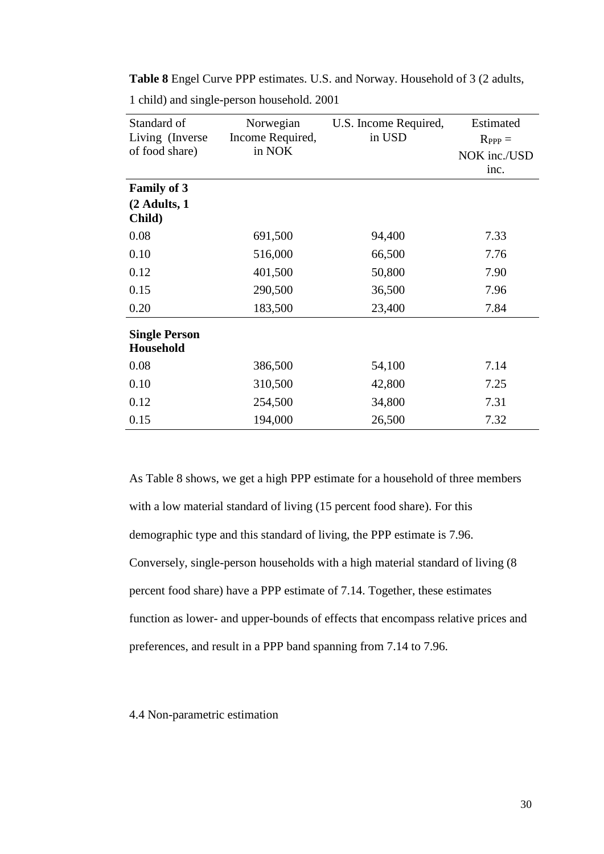| Standard of<br>Living (Inverse<br>of food share) | Norwegian<br>Income Required,<br>in NOK | U.S. Income Required,<br>in USD | Estimated<br>$R_{PPP} =$<br>NOK inc./USD<br>inc. |
|--------------------------------------------------|-----------------------------------------|---------------------------------|--------------------------------------------------|
| <b>Family of 3</b>                               |                                         |                                 |                                                  |
| (2 Adults, 1<br>Child)                           |                                         |                                 |                                                  |
| 0.08                                             | 691,500                                 | 94,400                          | 7.33                                             |
| 0.10                                             | 516,000                                 | 66,500                          | 7.76                                             |
| 0.12                                             | 401,500                                 | 50,800                          | 7.90                                             |
| 0.15                                             | 290,500                                 | 36,500                          | 7.96                                             |
| 0.20                                             | 183,500                                 | 23,400                          | 7.84                                             |
| <b>Single Person</b><br><b>Household</b>         |                                         |                                 |                                                  |
| 0.08                                             | 386,500                                 | 54,100                          | 7.14                                             |
| 0.10                                             | 310,500                                 | 42,800                          | 7.25                                             |
| 0.12                                             | 254,500                                 | 34,800                          | 7.31                                             |
| 0.15                                             | 194,000                                 | 26,500                          | 7.32                                             |

**Table 8** Engel Curve PPP estimates. U.S. and Norway. Household of 3 (2 adults,

1 child) and single-person household. 2001

As Table 8 shows, we get a high PPP estimate for a household of three members with a low material standard of living (15 percent food share). For this demographic type and this standard of living, the PPP estimate is 7.96. Conversely, single-person households with a high material standard of living (8 percent food share) have a PPP estimate of 7.14. Together, these estimates function as lower- and upper-bounds of effects that encompass relative prices and preferences, and result in a PPP band spanning from 7.14 to 7.96.

#### 4.4 Non-parametric estimation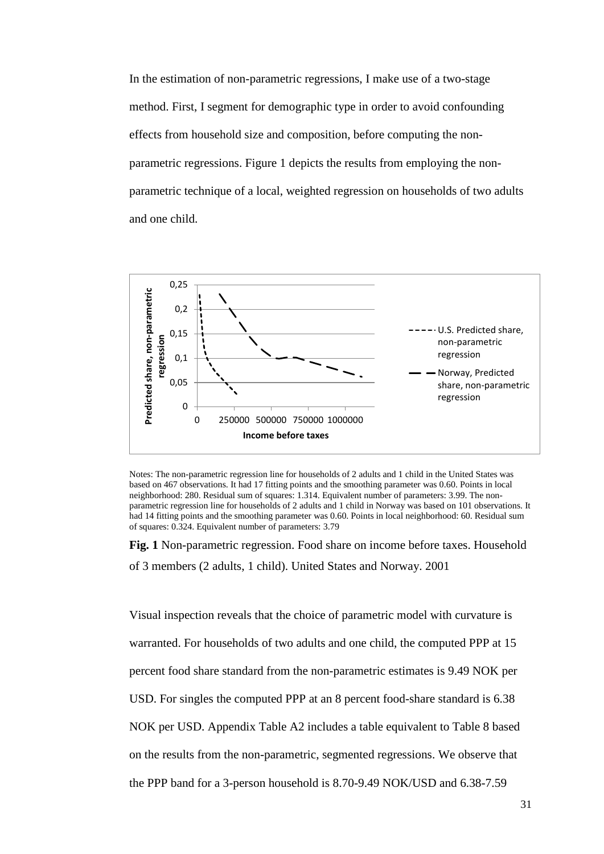In the estimation of non-parametric regressions, I make use of a two-stage method. First, I segment for demographic type in order to avoid confounding effects from household size and composition, before computing the nonparametric regressions. Figure 1 depicts the results from employing the nonparametric technique of a local, weighted regression on households of two adults and one child.



Notes: The non-parametric regression line for households of 2 adults and 1 child in the United States was based on 467 observations. It had 17 fitting points and the smoothing parameter was 0.60. Points in local neighborhood: 280. Residual sum of squares: 1.314. Equivalent number of parameters: 3.99. The nonparametric regression line for households of 2 adults and 1 child in Norway was based on 101 observations. It had 14 fitting points and the smoothing parameter was 0.60. Points in local neighborhood: 60. Residual sum of squares: 0.324. Equivalent number of parameters: 3.79

**Fig. 1** Non-parametric regression. Food share on income before taxes. Household of 3 members (2 adults, 1 child). United States and Norway. 2001

Visual inspection reveals that the choice of parametric model with curvature is warranted. For households of two adults and one child, the computed PPP at 15 percent food share standard from the non-parametric estimates is 9.49 NOK per USD. For singles the computed PPP at an 8 percent food-share standard is 6.38 NOK per USD. Appendix Table A2 includes a table equivalent to Table 8 based on the results from the non-parametric, segmented regressions. We observe that the PPP band for a 3-person household is 8.70-9.49 NOK/USD and 6.38-7.59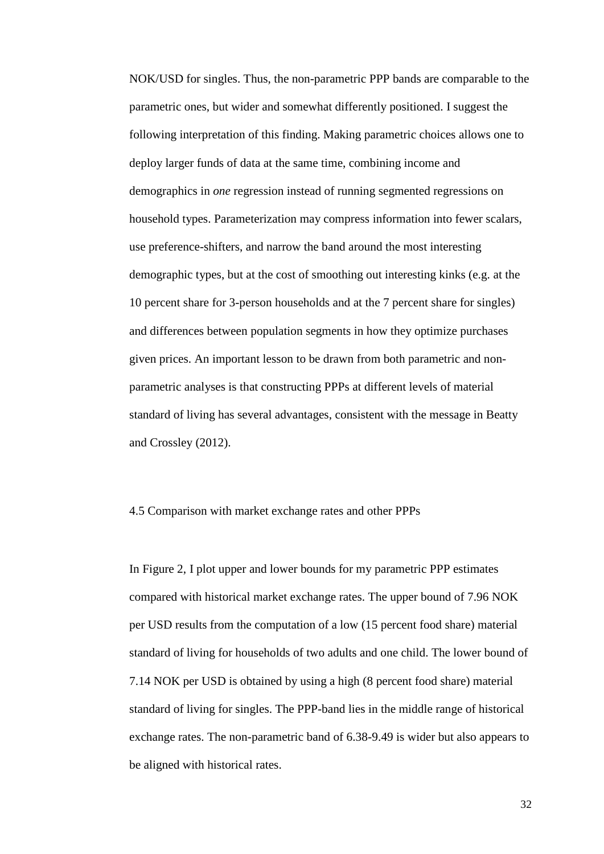NOK/USD for singles. Thus, the non-parametric PPP bands are comparable to the parametric ones, but wider and somewhat differently positioned. I suggest the following interpretation of this finding. Making parametric choices allows one to deploy larger funds of data at the same time, combining income and demographics in *one* regression instead of running segmented regressions on household types. Parameterization may compress information into fewer scalars, use preference-shifters, and narrow the band around the most interesting demographic types, but at the cost of smoothing out interesting kinks (e.g. at the 10 percent share for 3-person households and at the 7 percent share for singles) and differences between population segments in how they optimize purchases given prices. An important lesson to be drawn from both parametric and nonparametric analyses is that constructing PPPs at different levels of material standard of living has several advantages, consistent with the message in Beatty and Crossley (2012).

#### 4.5 Comparison with market exchange rates and other PPPs

In Figure 2, I plot upper and lower bounds for my parametric PPP estimates compared with historical market exchange rates. The upper bound of 7.96 NOK per USD results from the computation of a low (15 percent food share) material standard of living for households of two adults and one child. The lower bound of 7.14 NOK per USD is obtained by using a high (8 percent food share) material standard of living for singles. The PPP-band lies in the middle range of historical exchange rates. The non-parametric band of 6.38-9.49 is wider but also appears to be aligned with historical rates.

32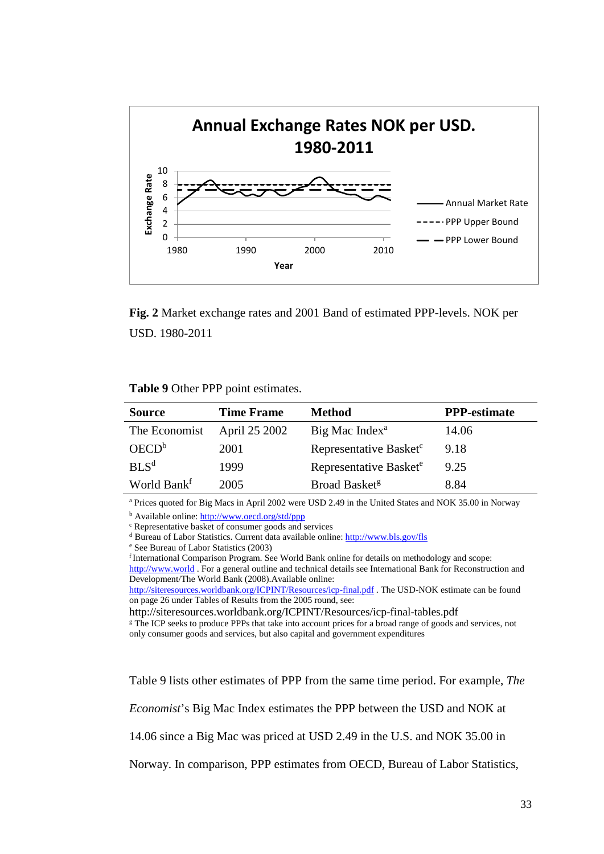

**Fig. 2** Market exchange rates and 2001 Band of estimated PPP-levels. NOK per USD. 1980-2011

#### **Table 9** Other PPP point estimates.

| <b>Source</b>           | <b>Time Frame</b> | <b>Method</b>                      | <b>PPP-estimate</b> |
|-------------------------|-------------------|------------------------------------|---------------------|
| The Economist           | April 25 2002     | Big Mac Index <sup>a</sup>         | 14.06               |
| OECD <sup>b</sup>       | 2001              | Representative Basket <sup>c</sup> | 9.18                |
| BI S <sup>d</sup>       | 1999              | Representative Basket <sup>e</sup> | 9.25                |
| World Bank <sup>f</sup> | 2005              | Broad Basket <sup>g</sup>          | 8.84                |

<sup>a</sup> Prices quoted for Big Macs in April 2002 were USD 2.49 in the United States and NOK 35.00 in Norway

b Available online[: http://www.oecd.org/std/ppp](http://www.oecd.org/std/ppp)

<sup>c</sup> Representative basket of consumer goods and services

<sup>d</sup> Bureau of Labor Statistics. Current data available online:  $\frac{http://www.bls.gov/fls}{http://www.bls.gov/fls}$ <sup>e</sup> See Bureau of Labor Statistics (2003)

<sup>f</sup> International Comparison Program. See World Bank online for details on methodology and scope:

[http://www.world](http://www.world/) . For a general outline and technical details see International Bank for Reconstruction and Development/The World Bank (2008).Available online:

<http://siteresources.worldbank.org/ICPINT/Resources/icp-final.pdf> . The USD-NOK estimate can be found on page 26 under Tables of Results from the 2005 round, see:

http://siteresources.worldbank.org/ICPINT/Resources/icp-final-tables.pdf<br><sup>g</sup> The ICP seeks to produce PPPs that take into account prices for a broad range of goods and services, not only consumer goods and services, but also capital and government expenditures

Table 9 lists other estimates of PPP from the same time period. For example, *The* 

*Economist*'s Big Mac Index estimates the PPP between the USD and NOK at

14.06 since a Big Mac was priced at USD 2.49 in the U.S. and NOK 35.00 in

Norway. In comparison, PPP estimates from OECD, Bureau of Labor Statistics,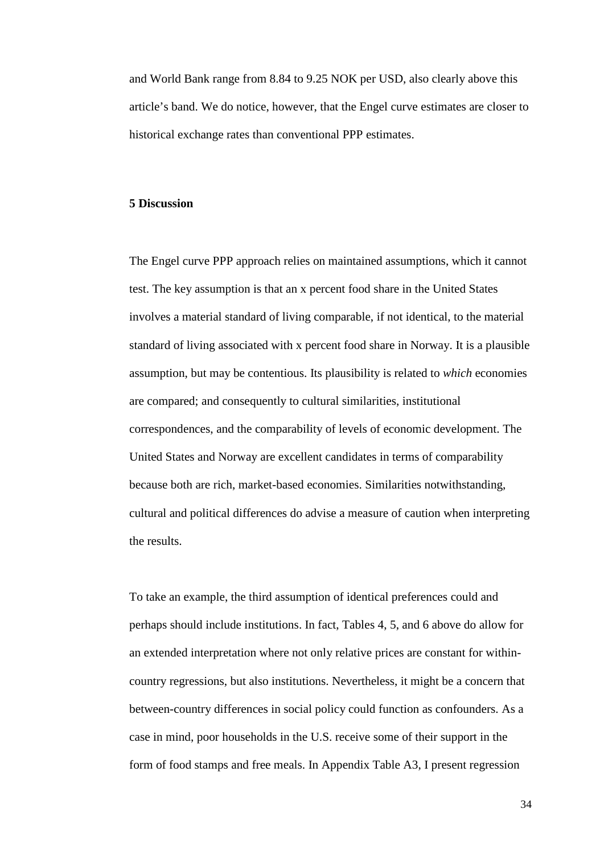and World Bank range from 8.84 to 9.25 NOK per USD, also clearly above this article's band. We do notice, however, that the Engel curve estimates are closer to historical exchange rates than conventional PPP estimates.

#### **5 Discussion**

The Engel curve PPP approach relies on maintained assumptions, which it cannot test. The key assumption is that an x percent food share in the United States involves a material standard of living comparable, if not identical, to the material standard of living associated with x percent food share in Norway. It is a plausible assumption, but may be contentious. Its plausibility is related to *which* economies are compared; and consequently to cultural similarities, institutional correspondences, and the comparability of levels of economic development. The United States and Norway are excellent candidates in terms of comparability because both are rich, market-based economies. Similarities notwithstanding, cultural and political differences do advise a measure of caution when interpreting the results.

To take an example, the third assumption of identical preferences could and perhaps should include institutions. In fact, Tables 4, 5, and 6 above do allow for an extended interpretation where not only relative prices are constant for withincountry regressions, but also institutions. Nevertheless, it might be a concern that between-country differences in social policy could function as confounders. As a case in mind, poor households in the U.S. receive some of their support in the form of food stamps and free meals. In Appendix Table A3, I present regression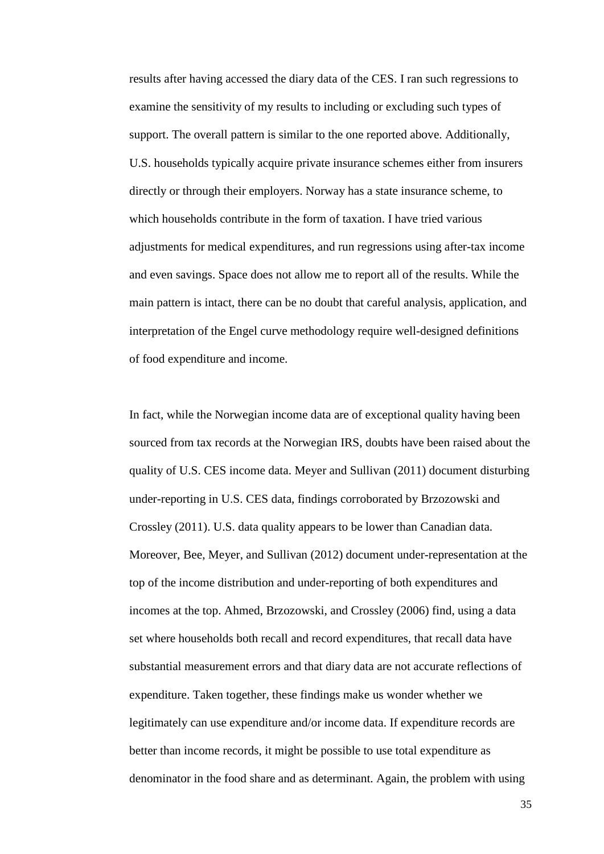results after having accessed the diary data of the CES. I ran such regressions to examine the sensitivity of my results to including or excluding such types of support. The overall pattern is similar to the one reported above. Additionally, U.S. households typically acquire private insurance schemes either from insurers directly or through their employers. Norway has a state insurance scheme, to which households contribute in the form of taxation. I have tried various adjustments for medical expenditures, and run regressions using after-tax income and even savings. Space does not allow me to report all of the results. While the main pattern is intact, there can be no doubt that careful analysis, application, and interpretation of the Engel curve methodology require well-designed definitions of food expenditure and income.

In fact, while the Norwegian income data are of exceptional quality having been sourced from tax records at the Norwegian IRS, doubts have been raised about the quality of U.S. CES income data. Meyer and Sullivan (2011) document disturbing under-reporting in U.S. CES data, findings corroborated by Brzozowski and Crossley (2011). U.S. data quality appears to be lower than Canadian data. Moreover, Bee, Meyer, and Sullivan (2012) document under-representation at the top of the income distribution and under-reporting of both expenditures and incomes at the top. Ahmed, Brzozowski, and Crossley (2006) find, using a data set where households both recall and record expenditures, that recall data have substantial measurement errors and that diary data are not accurate reflections of expenditure. Taken together, these findings make us wonder whether we legitimately can use expenditure and/or income data. If expenditure records are better than income records, it might be possible to use total expenditure as denominator in the food share and as determinant. Again, the problem with using

35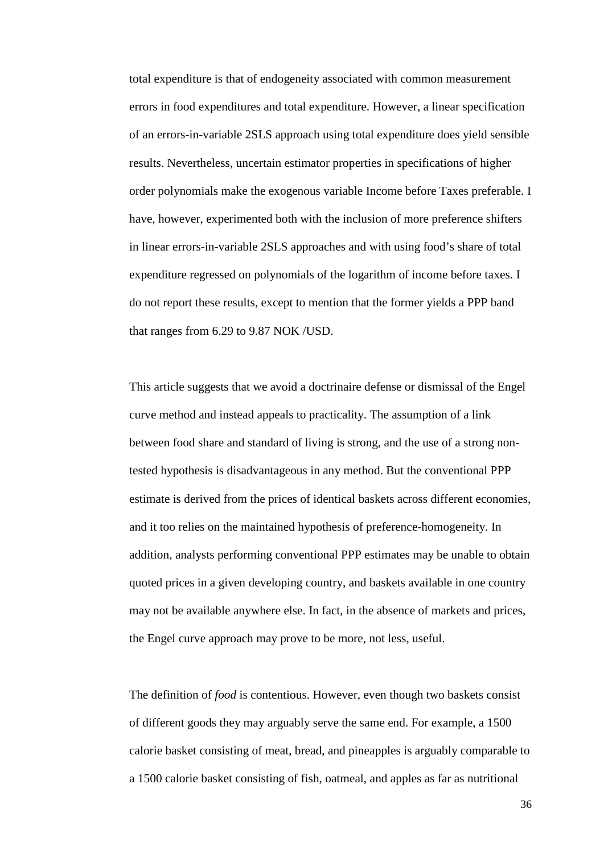total expenditure is that of endogeneity associated with common measurement errors in food expenditures and total expenditure. However, a linear specification of an errors-in-variable 2SLS approach using total expenditure does yield sensible results. Nevertheless, uncertain estimator properties in specifications of higher order polynomials make the exogenous variable Income before Taxes preferable. I have, however, experimented both with the inclusion of more preference shifters in linear errors-in-variable 2SLS approaches and with using food's share of total expenditure regressed on polynomials of the logarithm of income before taxes. I do not report these results, except to mention that the former yields a PPP band that ranges from 6.29 to 9.87 NOK /USD.

This article suggests that we avoid a doctrinaire defense or dismissal of the Engel curve method and instead appeals to practicality. The assumption of a link between food share and standard of living is strong, and the use of a strong nontested hypothesis is disadvantageous in any method. But the conventional PPP estimate is derived from the prices of identical baskets across different economies, and it too relies on the maintained hypothesis of preference-homogeneity. In addition, analysts performing conventional PPP estimates may be unable to obtain quoted prices in a given developing country, and baskets available in one country may not be available anywhere else. In fact, in the absence of markets and prices, the Engel curve approach may prove to be more, not less, useful.

The definition of *food* is contentious. However, even though two baskets consist of different goods they may arguably serve the same end. For example, a 1500 calorie basket consisting of meat, bread, and pineapples is arguably comparable to a 1500 calorie basket consisting of fish, oatmeal, and apples as far as nutritional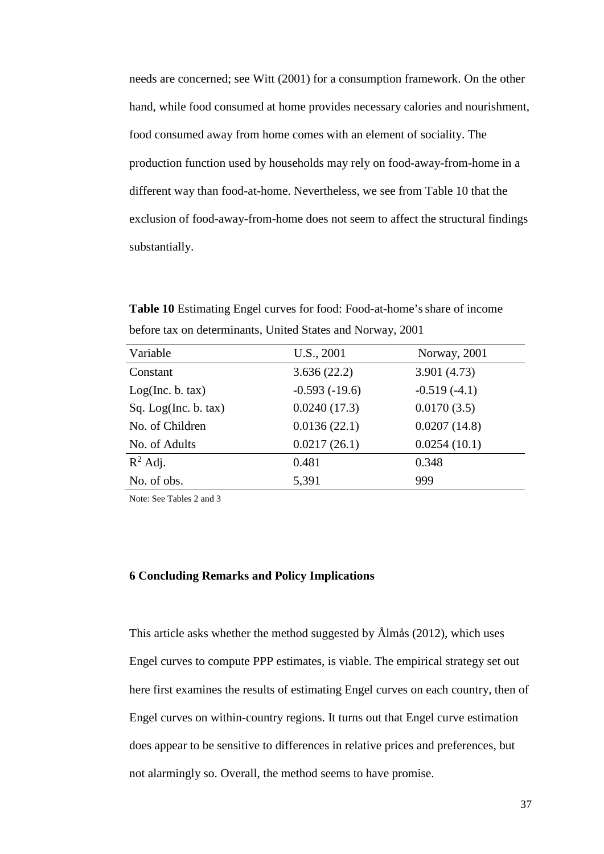needs are concerned; see Witt (2001) for a consumption framework. On the other hand, while food consumed at home provides necessary calories and nourishment, food consumed away from home comes with an element of sociality. The production function used by households may rely on food-away-from-home in a different way than food-at-home. Nevertheless, we see from Table 10 that the exclusion of food-away-from-home does not seem to affect the structural findings substantially.

**Table 10** Estimating Engel curves for food: Food-at-home'sshare of income before tax on determinants, United States and Norway, 2001

| Variable             | U.S., 2001      | Norway, 2001   |
|----------------------|-----------------|----------------|
| Constant             | 3.636(22.2)     | 3.901 (4.73)   |
| Log(Inc. b. tax)     | $-0.593(-19.6)$ | $-0.519(-4.1)$ |
| Sq. Log(Inc. b. tax) | 0.0240(17.3)    | 0.0170(3.5)    |
| No. of Children      | 0.0136(22.1)    | 0.0207(14.8)   |
| No. of Adults        | 0.0217(26.1)    | 0.0254(10.1)   |
| $R^2$ Adj.           | 0.481           | 0.348          |
| No. of obs.          | 5,391           | 999            |

Note: See Tables 2 and 3

#### **6 Concluding Remarks and Policy Implications**

This article asks whether the method suggested by Ålmås (2012), which uses Engel curves to compute PPP estimates, is viable. The empirical strategy set out here first examines the results of estimating Engel curves on each country, then of Engel curves on within-country regions. It turns out that Engel curve estimation does appear to be sensitive to differences in relative prices and preferences, but not alarmingly so. Overall, the method seems to have promise.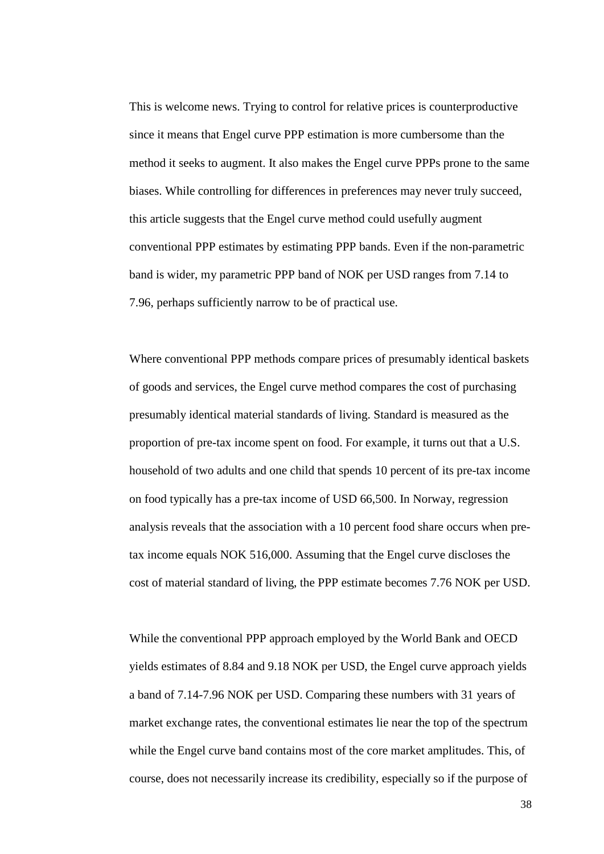This is welcome news. Trying to control for relative prices is counterproductive since it means that Engel curve PPP estimation is more cumbersome than the method it seeks to augment. It also makes the Engel curve PPPs prone to the same biases. While controlling for differences in preferences may never truly succeed, this article suggests that the Engel curve method could usefully augment conventional PPP estimates by estimating PPP bands. Even if the non-parametric band is wider, my parametric PPP band of NOK per USD ranges from 7.14 to 7.96, perhaps sufficiently narrow to be of practical use.

Where conventional PPP methods compare prices of presumably identical baskets of goods and services, the Engel curve method compares the cost of purchasing presumably identical material standards of living. Standard is measured as the proportion of pre-tax income spent on food. For example, it turns out that a U.S. household of two adults and one child that spends 10 percent of its pre-tax income on food typically has a pre-tax income of USD 66,500. In Norway, regression analysis reveals that the association with a 10 percent food share occurs when pretax income equals NOK 516,000. Assuming that the Engel curve discloses the cost of material standard of living, the PPP estimate becomes 7.76 NOK per USD.

While the conventional PPP approach employed by the World Bank and OECD yields estimates of 8.84 and 9.18 NOK per USD, the Engel curve approach yields a band of 7.14-7.96 NOK per USD. Comparing these numbers with 31 years of market exchange rates, the conventional estimates lie near the top of the spectrum while the Engel curve band contains most of the core market amplitudes. This, of course, does not necessarily increase its credibility, especially so if the purpose of

38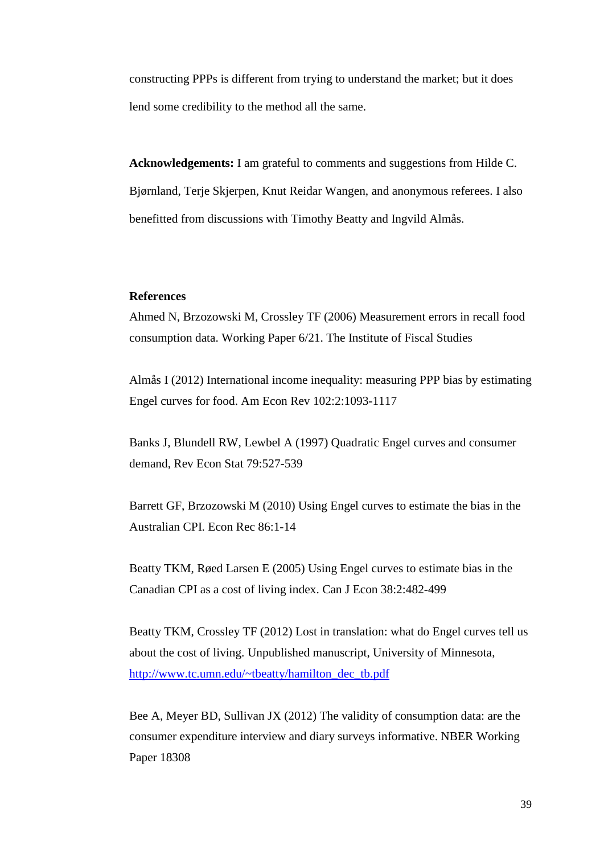constructing PPPs is different from trying to understand the market; but it does lend some credibility to the method all the same.

**Acknowledgements:** I am grateful to comments and suggestions from Hilde C. Bjørnland, Terje Skjerpen, Knut Reidar Wangen, and anonymous referees. I also benefitted from discussions with Timothy Beatty and Ingvild Almås.

#### **References**

Ahmed N, Brzozowski M, Crossley TF (2006) Measurement errors in recall food consumption data. Working Paper 6/21. The Institute of Fiscal Studies

Almås I (2012) International income inequality: measuring PPP bias by estimating Engel curves for food. Am Econ Rev 102:2:1093-1117

Banks J, Blundell RW, Lewbel A (1997) Quadratic Engel curves and consumer demand, Rev Econ Stat 79:527-539

Barrett GF, Brzozowski M (2010) Using Engel curves to estimate the bias in the Australian CPI. Econ Rec 86:1-14

Beatty TKM, Røed Larsen E (2005) Using Engel curves to estimate bias in the Canadian CPI as a cost of living index. Can J Econ 38:2:482-499

Beatty TKM, Crossley TF (2012) Lost in translation: what do Engel curves tell us about the cost of living. Unpublished manuscript, University of Minnesota, [http://www.tc.umn.edu/~tbeatty/hamilton\\_dec\\_tb.pdf](http://www.tc.umn.edu/%7Etbeatty/hamilton_dec_tb.pdf)

Bee A, Meyer BD, Sullivan JX (2012) The validity of consumption data: are the consumer expenditure interview and diary surveys informative. NBER Working Paper 18308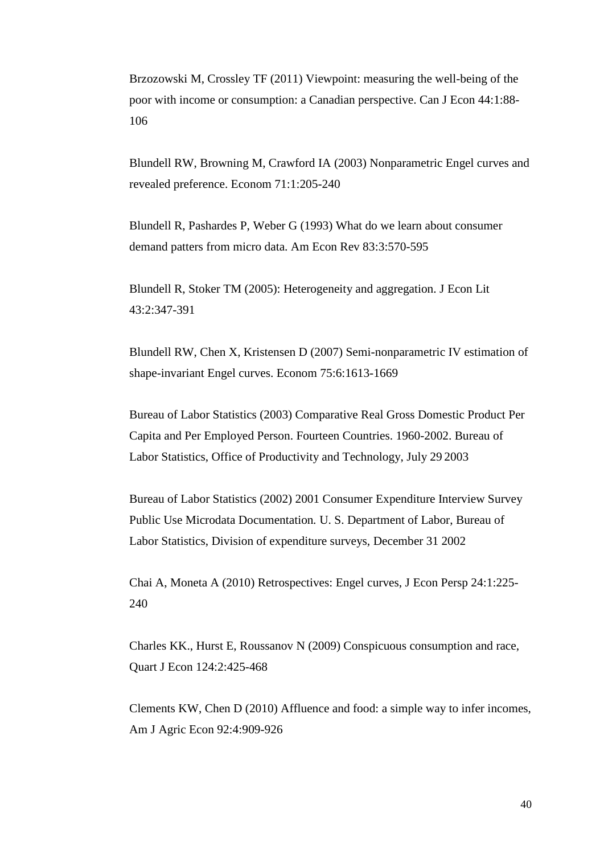Brzozowski M, Crossley TF (2011) Viewpoint: measuring the well-being of the poor with income or consumption: a Canadian perspective. Can J Econ 44:1:88- 106

Blundell RW, Browning M, Crawford IA (2003) Nonparametric Engel curves and revealed preference. Econom 71:1:205-240

Blundell R, Pashardes P, Weber G (1993) What do we learn about consumer demand patters from micro data. Am Econ Rev 83:3:570-595

Blundell R, Stoker TM (2005): Heterogeneity and aggregation. J Econ Lit 43:2:347-391

Blundell RW, Chen X, Kristensen D (2007) Semi-nonparametric IV estimation of shape-invariant Engel curves. Econom 75:6:1613-1669

Bureau of Labor Statistics (2003) Comparative Real Gross Domestic Product Per Capita and Per Employed Person. Fourteen Countries. 1960-2002. Bureau of Labor Statistics, Office of Productivity and Technology, July 29 2003

Bureau of Labor Statistics (2002) 2001 Consumer Expenditure Interview Survey Public Use Microdata Documentation*.* U. S. Department of Labor, Bureau of Labor Statistics, Division of expenditure surveys, December 31 2002

Chai A, Moneta A (2010) Retrospectives: Engel curves, J Econ Persp 24:1:225- 240

Charles KK., Hurst E, Roussanov N (2009) Conspicuous consumption and race, Quart J Econ 124:2:425-468

Clements KW, Chen D (2010) Affluence and food: a simple way to infer incomes, Am J Agric Econ 92:4:909-926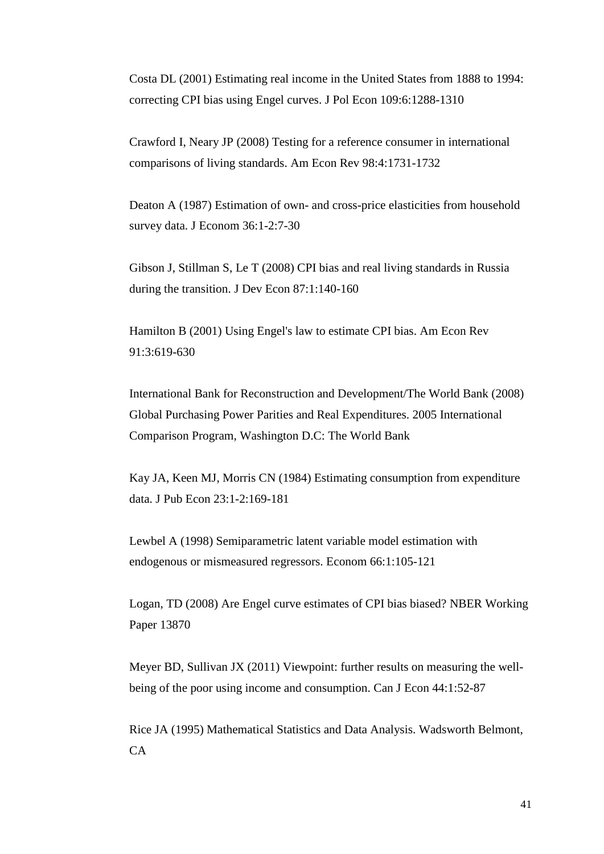Costa DL (2001) Estimating real income in the United States from 1888 to 1994: correcting CPI bias using Engel curves. J Pol Econ 109:6:1288-1310

Crawford I, Neary JP (2008) Testing for a reference consumer in international comparisons of living standards. Am Econ Rev 98:4:1731-1732

Deaton A (1987) Estimation of own- and cross-price elasticities from household survey data. J Econom 36:1-2:7-30

Gibson J, Stillman S, Le T (2008) CPI bias and real living standards in Russia during the transition. J Dev Econ 87:1:140-160

Hamilton B (2001) Using Engel's law to estimate CPI bias. Am Econ Rev 91:3:619-630

International Bank for Reconstruction and Development/The World Bank (2008) Global Purchasing Power Parities and Real Expenditures. 2005 International Comparison Program, Washington D.C: The World Bank

Kay JA, Keen MJ, Morris CN (1984) Estimating consumption from expenditure data. J Pub Econ 23:1-2:169-181

Lewbel A (1998) Semiparametric latent variable model estimation with endogenous or mismeasured regressors. Econom 66:1:105-121

Logan, TD (2008) Are Engel curve estimates of CPI bias biased? NBER Working Paper 13870

Meyer BD, Sullivan JX (2011) Viewpoint: further results on measuring the wellbeing of the poor using income and consumption. Can J Econ 44:1:52-87

Rice JA (1995) Mathematical Statistics and Data Analysis. Wadsworth Belmont,  $CA$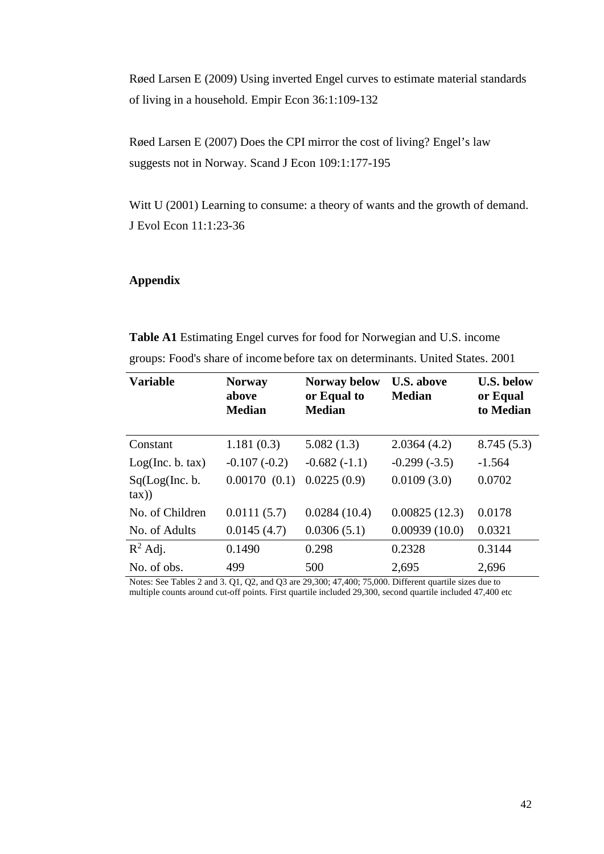Røed Larsen E (2009) Using inverted Engel curves to estimate material standards of living in a household. Empir Econ 36:1:109-132

Røed Larsen E (2007) Does the CPI mirror the cost of living? Engel's law suggests not in Norway. Scand J Econ 109:1:177-195

Witt U (2001) Learning to consume: a theory of wants and the growth of demand. J Evol Econ 11:1:23-36

### **Appendix**

**Table A1** Estimating Engel curves for food for Norwegian and U.S. income groups: Food's share of income before tax on determinants. United States. 2001

| <b>Variable</b>            | <b>Norway</b><br>above<br><b>Median</b> | <b>Norway below</b><br>or Equal to<br><b>Median</b> | <b>U.S. above</b><br><b>Median</b> | <b>U.S. below</b><br>or Equal<br>to Median |
|----------------------------|-----------------------------------------|-----------------------------------------------------|------------------------------------|--------------------------------------------|
| Constant                   | 1.181(0.3)                              | 5.082(1.3)                                          | 2.0364(4.2)                        | 8.745(5.3)                                 |
| Log(Inc. b. tax)           | $-0.107(-0.2)$                          | $-0.682(-1.1)$                                      | $-0.299(-3.5)$                     | $-1.564$                                   |
| Sq(Log(Inc. b.<br>$\tan$ ) | 0.00170(0.1)                            | 0.0225(0.9)                                         | 0.0109(3.0)                        | 0.0702                                     |
| No. of Children            | 0.0111(5.7)                             | 0.0284(10.4)                                        | 0.00825(12.3)                      | 0.0178                                     |
| No. of Adults              | 0.0145(4.7)                             | 0.0306(5.1)                                         | 0.00939(10.0)                      | 0.0321                                     |
| $R^2$ Adj.                 | 0.1490                                  | 0.298                                               | 0.2328                             | 0.3144                                     |
| No. of obs.                | 499                                     | 500                                                 | 2,695                              | 2,696                                      |

Notes: See Tables 2 and 3. Q1, Q2, and Q3 are 29,300; 47,400; 75,000. Different quartile sizes due to multiple counts around cut-off points. First quartile included 29,300, second quartile included 47,400 etc